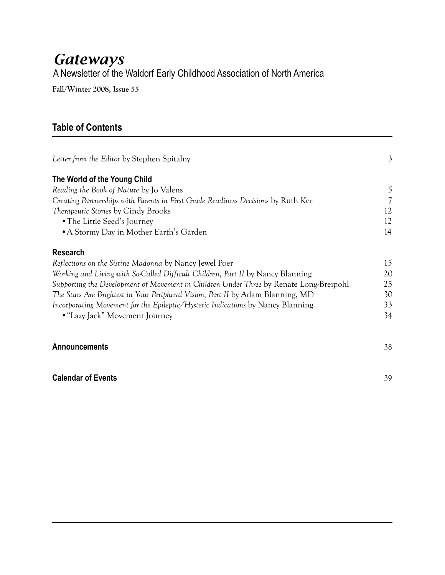### *Gateways* A Newsletter of the Waldorf Early Childhood Association of North America

**Fall/Winter 2008, Issue 55**

### **Table of Contents**

| Letter from the Editor by Stephen Spitalny                                             | 3  |
|----------------------------------------------------------------------------------------|----|
| The World of the Young Child                                                           |    |
| Reading the Book of Nature by Jo Valens                                                | 5  |
| Creating Partnerships with Parents in First Grade Readiness Decisions by Ruth Ker      | 7  |
| Therapeutic Stories by Cindy Brooks                                                    | 12 |
| • The Little Seed's Journey                                                            | 12 |
| • A Stormy Day in Mother Earth's Garden                                                | 14 |
| <b>Research</b>                                                                        |    |
| Reflections on the Sistine Madonna by Nancy Jewel Poer                                 | 15 |
| Working and Living with So-Called Difficult Children, Part II by Nancy Blanning        | 20 |
| Supporting the Development of Movement in Children Under Three by Renate Long-Breipohl | 25 |
| The Stars Are Brightest in Your Peripheral Vision, Part II by Adam Blanning, MD        | 30 |
| Incorporating Movement for the Epileptic/Hysteric Indications by Nancy Blanning        | 33 |
| • "Lazy Jack" Movement Journey                                                         | 34 |
| <b>Announcements</b>                                                                   | 38 |
| <b>Calendar of Events</b>                                                              | 39 |
|                                                                                        |    |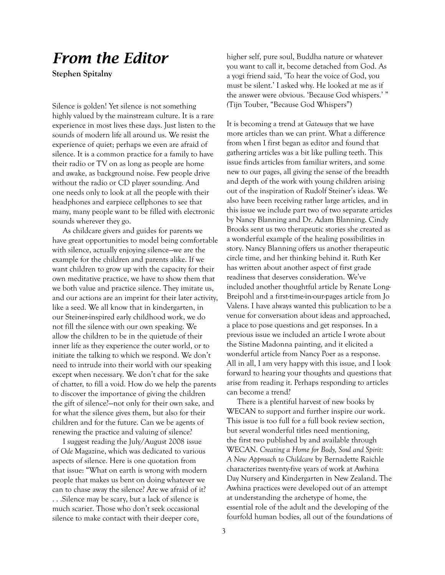### *From the Editor*

**Stephen Spitalny**

Silence is golden! Yet silence is not something highly valued by the mainstream culture. It is a rare experience in most lives these days. Just listen to the sounds of modern life all around us. We resist the experience of quiet; perhaps we even are afraid of silence. It is a common practice for a family to have their radio or TV on as long as people are home and awake, as background noise. Few people drive without the radio or CD player sounding. And one needs only to look at all the people with their headphones and earpiece cellphones to see that many, many people want to be filled with electronic sounds wherever they go.

As childcare givers and guides for parents we have great opportunities to model being comfortable with silence, actually enjoying silence—we are the example for the children and parents alike. If we want children to grow up with the capacity for their own meditative practice, we have to show them that we both value and practice silence. They imitate us, and our actions are an imprint for their later activity, like a seed. We all know that in kindergarten, in our Steiner-inspired early childhood work, we do not fill the silence with our own speaking. We allow the children to be in the quietude of their inner life as they experience the outer world, or to initiate the talking to which we respond. We don't need to intrude into their world with our speaking except when necessary. We don't chat for the sake of chatter, to fill a void. How do we help the parents to discover the importance of giving the children the gift of silence?—not only for their own sake, and for what the silence gives them, but also for their children and for the future. Can we be agents of renewing the practice and valuing of silence?

I suggest reading the July/August 2008 issue of *Ode* Magazine, which was dedicated to various aspects of silence. Here is one quotation from that issue: "What on earth is wrong with modern people that makes us bent on doing whatever we can to chase away the silence? Are we afraid of it? . . .Silence may be scary, but a lack of silence is much scarier. Those who don't seek occasional silence to make contact with their deeper core,

higher self, pure soul, Buddha nature or whatever you want to call it, become detached from God. As a yogi friend said, 'To hear the voice of God, you must be silent.' I asked why. He looked at me as if the answer were obvious. 'Because God whispers.' " *(*Tijn Touber, "Because God Whispers")

It is becoming a trend at *Gateways* that we have more articles than we can print. What a difference from when I first began as editor and found that gathering articles was a bit like pulling teeth. This issue finds articles from familiar writers, and some new to our pages, all giving the sense of the breadth and depth of the work with young children arising out of the inspiration of Rudolf Steiner's ideas. We also have been receiving rather large articles, and in this issue we include part two of two separate articles by Nancy Blanning and Dr. Adam Blanning. Cindy Brooks sent us two therapeutic stories she created as a wonderful example of the healing possibilities in story. Nancy Blanning offers us another therapeutic circle time, and her thinking behind it. Ruth Ker has written about another aspect of first grade readiness that deserves consideration. We've included another thoughtful article by Renate Long-Breipohl and a first-time-in-our-pages article from Jo Valens. I have always wanted this publication to be a venue for conversation about ideas and approached, a place to pose questions and get responses. In a previous issue we included an article I wrote about the Sistine Madonna painting, and it elicited a wonderful article from Nancy Poer as a response. All in all, I am very happy with this issue, and I look forward to hearing your thoughts and questions that arise from reading it. Perhaps responding to articles can become a trend?

There is a plentiful harvest of new books by WECAN to support and further inspire our work. This issue is too full for a full book review section, but several wonderful titles need mentioning, the first two published by and available through WECAN. *Creating a Home for Body, Soul and Spirit: A New Approach to Childcare* by Bernadette Raichle characterizes twenty-five years of work at Awhina Day Nursery and Kindergarten in New Zealand. The Awhina practices were developed out of an attempt at understanding the archetype of home, the essential role of the adult and the developing of the fourfold human bodies, all out of the foundations of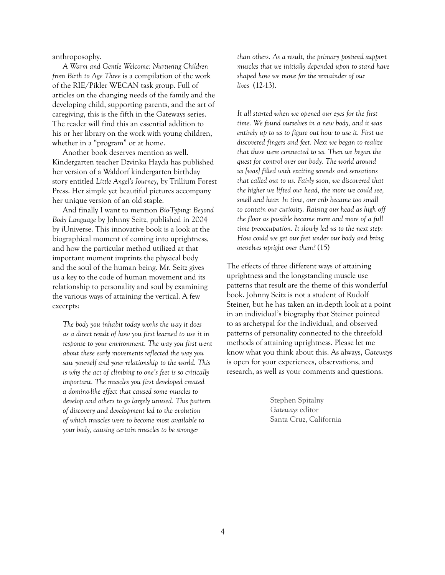anthroposophy.

*A Warm and Gentle Welcome: Nurturing Children from Birth to Age Three* is a compilation of the work of the RIE/Pikler WECAN task group. Full of articles on the changing needs of the family and the developing child, supporting parents, and the art of caregiving, this is the fifth in the Gateways series. The reader will find this an essential addition to his or her library on the work with young children, whether in a "program" or at home.

Another book deserves mention as well. Kindergarten teacher Dzvinka Hayda has published her version of a Waldorf kindergarten birthday story entitled *Little Angel's Journey*, by Trillium Forest Press. Her simple yet beautiful pictures accompany her unique version of an old staple.

And finally I want to mention *Bio-Typing: Beyond Body Language* by Johnny Seitz, published in 2004 by iUniverse. This innovative book is a look at the biographical moment of coming into uprightness, and how the particular method utilized at that important moment imprints the physical body and the soul of the human being. Mr. Seitz gives us a key to the code of human movement and its relationship to personality and soul by examining the various ways of attaining the vertical. A few excerpts:

*The body you inhabit today works the way it does as a direct result of how you first learned to use it in response to your environment. The way you first went about these early movements reflected the way you saw yourself and your relationship to the world. This is why the act of climbing to one's feet is so critically important. The muscles you first developed created a domino-like effect that caused some muscles to develop and others to go largely unused. This pattern of discovery and development led to the evolution of which muscles were to become most available to your body, causing certain muscles to be stronger* 

*than others. As a result, the primary postural support muscles that we initially depended upon to stand have shaped how we move for the remainder of our lives* (12-13).

*It all started when we opened our eyes for the first time. We found ourselves in a new body, and it was entirely up to us to figure out how to use it. First we discovered fingers and feet. Next we began to realize that these were connected to us. Then we began the quest for control over our body. The world around us [was] filled with exciting sounds and sensations that called out to us. Fairly soon, we discovered that the higher we lifted our head, the more we could see, smell and hear. In time, our crib became too small to contain our curiosity. Raising our head as high off the floor as possible became more and more of a full time preoccupation. It slowly led us to the next step: How could we get our feet under our body and bring ourselves upright over them?* (15)

The effects of three different ways of attaining uprightness and the longstanding muscle use patterns that result are the theme of this wonderful book. Johnny Seitz is not a student of Rudolf Steiner, but he has taken an in-depth look at a point in an individual's biography that Steiner pointed to as archetypal for the individual, and observed patterns of personality connected to the threefold methods of attaining uprightness. Please let me know what you think about this. As always, *Gateways* is open for your experiences, observations, and research, as well as your comments and questions.

> Stephen Spitalny *Gateways* editor Santa Cruz, California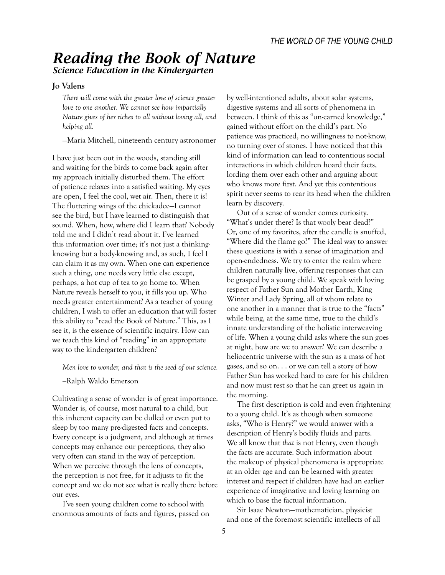### *Reading the Book of Nature Science Education in the Kindergarten*

#### **Jo Valens**

*There will come with the greater love of science greater love to one another. We cannot see how impartially Nature gives of her riches to all without loving all, and helping all.*

—Maria Mitchell, nineteenth century astronomer

I have just been out in the woods, standing still and waiting for the birds to come back again after my approach initially disturbed them. The effort of patience relaxes into a satisfied waiting. My eyes are open, I feel the cool, wet air. Then, there it is! The fluttering wings of the chickadee—I cannot see the bird, but I have learned to distinguish that sound. When, how, where did I learn that? Nobody told me and I didn't read about it. I've learned this information over time; it's not just a thinkingknowing but a body-knowing and, as such, I feel I can claim it as my own. When one can experience such a thing, one needs very little else except, perhaps, a hot cup of tea to go home to. When Nature reveals herself to you, it fills you up. Who needs greater entertainment? As a teacher of young children, I wish to offer an education that will foster this ability to "read the Book of Nature." This, as I see it, is the essence of scientific inquiry. How can we teach this kind of "reading" in an appropriate way to the kindergarten children?

*Men love to wonder, and that is the seed of our science.*

*—*Ralph Waldo Emerson

Cultivating a sense of wonder is of great importance. Wonder is, of course, most natural to a child, but this inherent capacity can be dulled or even put to sleep by too many pre-digested facts and concepts. Every concept is a judgment, and although at times concepts may enhance our perceptions, they also very often can stand in the way of perception. When we perceive through the lens of concepts, the perception is not free, for it adjusts to fit the concept and we do not see what is really there before our eyes.

I've seen young children come to school with enormous amounts of facts and figures, passed on by well-intentioned adults, about solar systems, digestive systems and all sorts of phenomena in between. I think of this as "un-earned knowledge," gained without effort on the child's part. No patience was practiced, no willingness to not-know, no turning over of stones. I have noticed that this kind of information can lead to contentious social interactions in which children hoard their facts, lording them over each other and arguing about who knows more first. And yet this contentious spirit never seems to rear its head when the children learn by discovery.

Out of a sense of wonder comes curiosity. "What's under there? Is that wooly bear dead?" Or, one of my favorites, after the candle is snuffed, "Where did the flame go?" The ideal way to answer these questions is with a sense of imagination and open-endedness. We try to enter the realm where children naturally live, offering responses that can be grasped by a young child. We speak with loving respect of Father Sun and Mother Earth, King Winter and Lady Spring, all of whom relate to one another in a manner that is true to the "facts" while being, at the same time, true to the child's innate understanding of the holistic interweaving of life. When a young child asks where the sun goes at night, how are we to answer? We can describe a heliocentric universe with the sun as a mass of hot gases, and so on. . . or we can tell a story of how Father Sun has worked hard to care for his children and now must rest so that he can greet us again in the morning.

The first description is cold and even frightening to a young child. It's as though when someone asks, "Who is Henry?" we would answer with a description of Henry's bodily fluids and parts. We all know that *that* is not Henry, even though the facts are accurate. Such information about the makeup of physical phenomena is appropriate at an older age and can be learned with greater interest and respect if children have had an earlier experience of imaginative and loving learning on which to base the factual information.

Sir Isaac Newton—mathematician, physicist and one of the foremost scientific intellects of all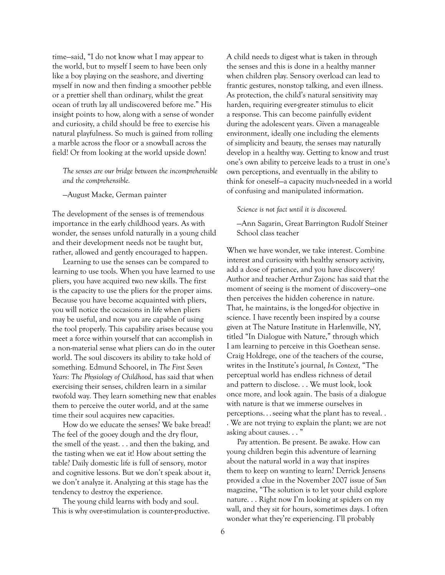time—said, "I do not know what I may appear to the world, but to myself I seem to have been only like a boy playing on the seashore, and diverting myself in now and then finding a smoother pebble or a prettier shell than ordinary, whilst the great ocean of truth lay all undiscovered before me." His insight points to how, along with a sense of wonder and curiosity, a child should be free to exercise his natural playfulness. So much is gained from rolling a marble across the floor or a snowball across the field! Or from looking at the world upside down!

*The senses are our bridge between the incomprehensible and the comprehensible.*

—August Macke, German painter

The development of the senses is of tremendous importance in the early childhood years. As with wonder, the senses unfold naturally in a young child and their development needs not be taught but, rather, allowed and gently encouraged to happen.

Learning to use the senses can be compared to learning to use tools. When you have learned to use pliers, you have acquired two new skills. The first is the capacity to use the pliers for the proper aims. Because you have become acquainted with pliers, you will notice the occasions in life when pliers may be useful, and now you are capable of using the tool properly. This capability arises because you meet a force within yourself that can accomplish in a non-material sense what pliers can do in the outer world. The soul discovers its ability to take hold of something. Edmund Schoorel, in *The First Seven Years: The Physiology of Childhood*, has said that when exercising their senses, children learn in a similar twofold way. They learn something new that enables them to perceive the outer world, and at the same time their soul acquires new capacities.

How do we educate the senses? We bake bread! The feel of the gooey dough and the dry flour, the smell of the yeast. . . and then the baking, and the tasting when we eat it! How about setting the table? Daily domestic life is full of sensory, motor and cognitive lessons. But we don't speak about it, we don't analyze it. Analyzing at this stage has the tendency to destroy the experience.

The young child learns with body and soul. This is why over-stimulation is counter-productive. A child needs to digest what is taken in through the senses and this is done in a healthy manner when children play. Sensory overload can lead to frantic gestures, nonstop talking, and even illness. As protection, the child's natural sensitivity may harden, requiring ever-greater stimulus to elicit a response. This can become painfully evident during the adolescent years. Given a manageable environment, ideally one including the elements of simplicity and beauty, the senses may naturally develop in a healthy way. Getting to know and trust one's own ability to perceive leads to a trust in one's own perceptions, and eventually in the ability to think for oneself—a capacity much-needed in a world of confusing and manipulated information.

*Science is not fact until it is discovered.*

—Ann Sagarin, Great Barrington Rudolf Steiner School class teacher

When we have wonder, we take interest. Combine interest and curiosity with healthy sensory activity, add a dose of patience, and you have discovery! Author and teacher Arthur Zajonc has said that the moment of seeing is the moment of discovery—one then perceives the hidden coherence in nature. That, he maintains, is the longed-for objective in science. I have recently been inspired by a course given at The Nature Institute in Harlemville, NY, titled "In Dialogue with Nature," through which I am learning to perceive in this Goethean sense. Craig Holdrege, one of the teachers of the course, writes in the Institute's journal, *In Context*, "The perceptual world has endless richness of detail and pattern to disclose. . . We must look, look once more, and look again. The basis of a dialogue with nature is that we immerse ourselves in perceptions. . . seeing what the plant has to reveal. . . We are not trying to explain the plant; we are not asking about causes. . . "

Pay attention. Be present. Be awake. How can young children begin this adventure of learning about the natural world in a way that inspires them to keep on wanting to learn? Derrick Jensens provided a clue in the November 2007 issue of *Sun* magazine, "The solution is to let your child explore nature. . . Right now I'm looking at spiders on my wall, and they sit for hours, sometimes days. I often wonder what they're experiencing. I'll probably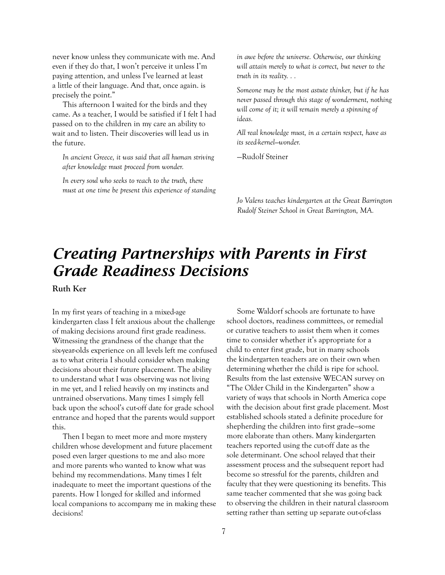never know unless they communicate with me. And even if they do that, I won't perceive it unless I'm paying attention, and unless I've learned at least a little of their language. And that, once again. is precisely the point."

This afternoon I waited for the birds and they came. As a teacher, I would be satisfied if I felt I had passed on to the children in my care an ability to wait and to listen. Their discoveries will lead us in the future.

*In ancient Greece, it was said that all human striving after knowledge must proceed from wonder.*

*In every soul who seeks to reach to the truth, there must at one time be present this experience of standing*  *in awe before the universe. Otherwise, our thinking will attain merely to what is correct, but never to the truth in its reality. . .*

*Someone may be the most astute thinker, but if he has never passed through this stage of wonderment, nothing will come of it; it will remain merely a spinning of ideas.*

*All real knowledge must, in a certain respect, have as its seed-kernel—wonder.*

—Rudolf Steiner

*Jo Valens teaches kindergarten at the Great Barrington Rudolf Steiner School in Great Barrington, MA.*

# *Creating Partnerships with Parents in First Grade Readiness Decisions*

**Ruth Ker**

In my first years of teaching in a mixed-age kindergarten class I felt anxious about the challenge of making decisions around first grade readiness. Witnessing the grandness of the change that the six-year-olds experience on all levels left me confused as to what criteria I should consider when making decisions about their future placement. The ability to understand what I was observing was not living in me yet, and I relied heavily on my instincts and untrained observations. Many times I simply fell back upon the school's cut-off date for grade school entrance and hoped that the parents would support this.

Then I began to meet more and more mystery children whose development and future placement posed even larger questions to me and also more and more parents who wanted to know what was behind my recommendations. Many times I felt inadequate to meet the important questions of the parents. How I longed for skilled and informed local companions to accompany me in making these decisions!

Some Waldorf schools are fortunate to have school doctors, readiness committees, or remedial or curative teachers to assist them when it comes time to consider whether it's appropriate for a child to enter first grade, but in many schools the kindergarten teachers are on their own when determining whether the child is ripe for school. Results from the last extensive WECAN survey on "The Older Child in the Kindergarten" show a variety of ways that schools in North America cope with the decision about first grade placement. Most established schools stated a definite procedure for shepherding the children into first grade—some more elaborate than others. Many kindergarten teachers reported using the cut-off date as the sole determinant. One school relayed that their assessment process and the subsequent report had become so stressful for the parents, children and faculty that they were questioning its benefits. This same teacher commented that she was going back to observing the children in their natural classroom setting rather than setting up separate out-of-class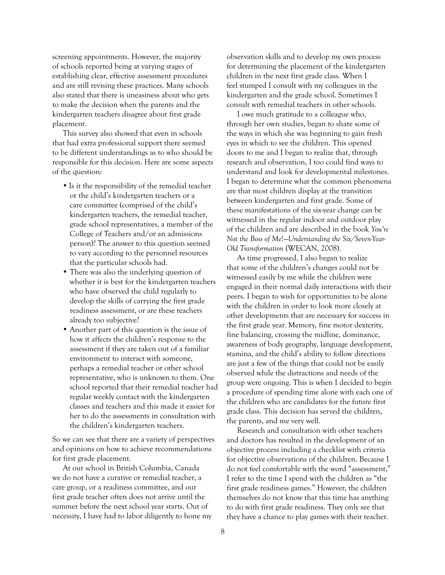screening appointments. However, the majority of schools reported being at varying stages of establishing clear, effective assessment procedures and are still revising these practices. Many schools also stated that there is uneasiness about who gets to make the decision when the parents and the kindergarten teachers disagree about first grade placement.

This survey also showed that even in schools that had extra professional support there seemed to be different understandings as to who should be responsible for this decision. Here are some aspects of the question:

- Is it the responsibility of the remedial teacher or the child's kindergarten teachers or a care committee (comprised of the child's kindergarten teachers, the remedial teacher, grade school representatives, a member of the College of Teachers and/or an admissions person)? The answer to this question seemed to vary according to the personnel resources that the particular schools had.
- There was also the underlying question of whether it is best for the kindergarten teachers who have observed the child regularly to develop the skills of carrying the first grade readiness assessment, or are these teachers already too subjective?
- Another part of this question is the issue of how it affects the children's response to the assessment if they are taken out of a familiar environment to interact with someone, perhaps a remedial teacher or other school representative, who is unknown to them. One school reported that their remedial teacher had regular weekly contact with the kindergarten classes and teachers and this made it easier for her to do the assessments in consultation with the children's kindergarten teachers.

So we can see that there are a variety of perspectives and opinions on how to achieve recommendations for first grade placement.

At our school in British Columbia, Canada we do not have a curative or remedial teacher, a care group, or a readiness committee, and our first grade teacher often does not arrive until the summer before the next school year starts. Out of necessity, I have had to labor diligently to hone my observation skills and to develop my own process for determining the placement of the kindergarten children in the next first grade class. When I feel stumped I consult with my colleagues in the kindergarten and the grade school. Sometimes I consult with remedial teachers in other schools.

I owe much gratitude to a colleague who, through her own studies, began to share some of the ways in which she was beginning to gain fresh eyes in which to see the children. This opened doors to me and I began to realize that, through research and observation, I too could find ways to understand and look for developmental milestones. I began to determine what the common phenomena are that most children display at the transition between kindergarten and first grade. Some of these manifestations of the six-year change can be witnessed in the regular indoor and outdoor play of the children and are described in the book *You're Not the Boss of Me*!—*Understanding the Six/Seven-Year-Old Transformation* (WECAN, 2008).

As time progressed, I also began to realize that some of the children's changes could not be witnessed easily by me while the children were engaged in their normal daily interactions with their peers. I began to wish for opportunities to be alone with the children in order to look more closely at other developments that are necessary for success in the first grade year. Memory, fine motor dexterity, fine balancing, crossing the midline, dominance, awareness of body geography, language development, stamina, and the child's ability to follow directions are just a few of the things that could not be easily observed while the distractions and needs of the group were ongoing. This is when I decided to begin a procedure of spending time alone with each one of the children who are candidates for the future first grade class. This decision has served the children, the parents, and me very well.

Research and consultation with other teachers and doctors has resulted in the development of an objective process including a checklist with criteria for objective observations of the children. Because I do not feel comfortable with the word "assessment," I refer to the time I spend with the children as "the first grade readiness games." However, the children themselves do not know that this time has anything to do with first grade readiness. They only see that they have a chance to play games with their teacher.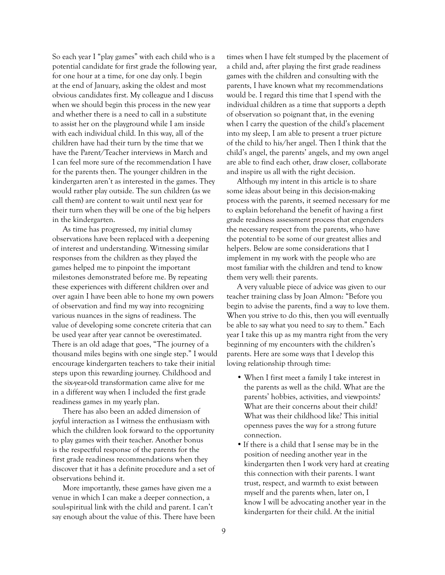So each year I "play games" with each child who is a potential candidate for first grade the following year, for one hour at a time, for one day only. I begin at the end of January, asking the oldest and most obvious candidates first. My colleague and I discuss when we should begin this process in the new year and whether there is a need to call in a substitute to assist her on the playground while I am inside with each individual child. In this way, all of the children have had their turn by the time that we have the Parent/Teacher interviews in March and I can feel more sure of the recommendation I have for the parents then. The younger children in the kindergarten aren't as interested in the games. They would rather play outside. The sun children (as we call them) are content to wait until next year for their turn when they will be one of the big helpers in the kindergarten.

As time has progressed, my initial clumsy observations have been replaced with a deepening of interest and understanding. Witnessing similar responses from the children as they played the games helped me to pinpoint the important milestones demonstrated before me. By repeating these experiences with different children over and over again I have been able to hone my own powers of observation and find my way into recognizing various nuances in the signs of readiness. The value of developing some concrete criteria that can be used year after year cannot be overestimated. There is an old adage that goes, "The journey of a thousand miles begins with one single step." I would encourage kindergarten teachers to take their initial steps upon this rewarding journey. Childhood and the six-year-old transformation came alive for me in a different way when I included the first grade readiness games in my yearly plan.

There has also been an added dimension of joyful interaction as I witness the enthusiasm with which the children look forward to the opportunity to play games with their teacher. Another bonus is the respectful response of the parents for the first grade readiness recommendations when they discover that it has a definite procedure and a set of observations behind it.

More importantly, these games have given me a venue in which I can make a deeper connection, a soul-spiritual link with the child and parent. I can't say enough about the value of this. There have been times when I have felt stumped by the placement of a child and, after playing the first grade readiness games with the children and consulting with the parents, I have known what my recommendations would be. I regard this time that I spend with the individual children as a time that supports a depth of observation so poignant that, in the evening when I carry the question of the child's placement into my sleep, I am able to present a truer picture of the child to his/her angel. Then I think that the child's angel, the parents' angels, and my own angel are able to find each other, draw closer, collaborate and inspire us all with the right decision.

Although my intent in this article is to share some ideas about being in this decision-making process with the parents, it seemed necessary for me to explain beforehand the benefit of having a first grade readiness assessment process that engenders the necessary respect from the parents, who have the potential to be some of our greatest allies and helpers. Below are some considerations that I implement in my work with the people who are most familiar with the children and tend to know them very well: their parents.

A very valuable piece of advice was given to our teacher training class by Joan Almon: "Before you begin to advise the parents, find a way to love them. When you strive to do this, then you will eventually be able to say what you need to say to them." Each year I take this up as my mantra right from the very beginning of my encounters with the children's parents. Here are some ways that I develop this loving relationship through time:

- When I first meet a family I take interest in the parents as well as the child. What are the parents' hobbies, activities, and viewpoints? What are their concerns about their child? What was their childhood like? This initial openness paves the way for a strong future connection.
- If there is a child that I sense may be in the position of needing another year in the kindergarten then I work very hard at creating this connection with their parents. I want trust, respect, and warmth to exist between myself and the parents when, later on, I know I will be advocating another year in the kindergarten for their child. At the initial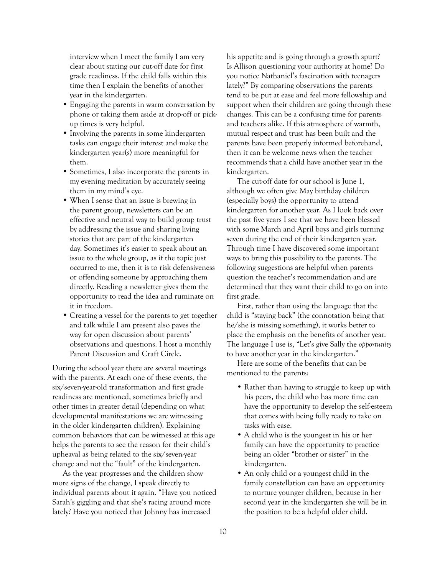interview when I meet the family I am very clear about stating our cut-off date for first grade readiness. If the child falls within this time then I explain the benefits of another year in the kindergarten.

- Engaging the parents in warm conversation by phone or taking them aside at drop-off or pickup times is very helpful.
- Involving the parents in some kindergarten tasks can engage their interest and make the kindergarten year(s) more meaningful for them.
- Sometimes, I also incorporate the parents in my evening meditation by accurately seeing them in my mind's eye.
- When I sense that an issue is brewing in the parent group, newsletters can be an effective and neutral way to build group trust by addressing the issue and sharing living stories that are part of the kindergarten day. Sometimes it's easier to speak about an issue to the whole group, as if the topic just occurred to me, then it is to risk defensiveness or offending someone by approaching them directly. Reading a newsletter gives them the opportunity to read the idea and ruminate on it in freedom.
- Creating a vessel for the parents to get together and talk while I am present also paves the way for open discussion about parents' observations and questions. I host a monthly Parent Discussion and Craft Circle.

During the school year there are several meetings with the parents. At each one of these events, the six/seven-year-old transformation and first grade readiness are mentioned, sometimes briefly and other times in greater detail (depending on what developmental manifestations we are witnessing in the older kindergarten children). Explaining common behaviors that can be witnessed at this age helps the parents to see the reason for their child's upheaval as being related to the six/seven-year change and not the "fault" of the kindergarten.

As the year progresses and the children show more signs of the change, I speak directly to individual parents about it again. "Have you noticed Sarah's giggling and that she's racing around more lately? Have you noticed that Johnny has increased

his appetite and is going through a growth spurt? Is Allison questioning your authority at home? Do you notice Nathaniel's fascination with teenagers lately?" By comparing observations the parents tend to be put at ease and feel more fellowship and support when their children are going through these changes. This can be a confusing time for parents and teachers alike. If this atmosphere of warmth, mutual respect and trust has been built and the parents have been properly informed beforehand, then it can be welcome news when the teacher recommends that a child have another year in the kindergarten.

The cut-off date for our school is June 1, although we often give May birthday children (especially boys) the opportunity to attend kindergarten for another year. As I look back over the past five years I see that we have been blessed with some March and April boys and girls turning seven during the end of their kindergarten year. Through time I have discovered some important ways to bring this possibility to the parents. The following suggestions are helpful when parents question the teacher's recommendation and are determined that they want their child to go on into first grade.

First, rather than using the language that the child is "staying back" (the connotation being that he/she is missing something), it works better to place the emphasis on the benefits of another year. The language I use is, "Let's give Sally the *opportunity* to have another year in the kindergarten."

Here are some of the benefits that can be mentioned to the parents:

- Rather than having to struggle to keep up with his peers, the child who has more time can have the opportunity to develop the self-esteem that comes with being fully ready to take on tasks with ease.
- A child who is the youngest in his or her family can have the opportunity to practice being an older "brother or sister" in the kindergarten.
- An only child or a youngest child in the family constellation can have an opportunity to nurture younger children, because in her second year in the kindergarten she will be in the position to be a helpful older child.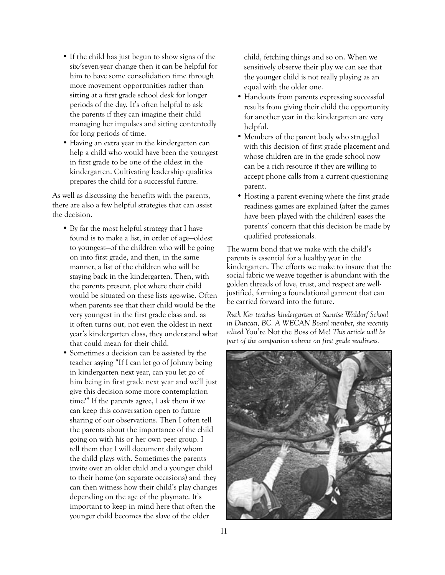- If the child has just begun to show signs of the six/seven-year change then it can be helpful for him to have some consolidation time through more movement opportunities rather than sitting at a first grade school desk for longer periods of the day. It's often helpful to ask the parents if they can imagine their child managing her impulses and sitting contentedly for long periods of time.
- Having an extra year in the kindergarten can help a child who would have been the youngest in first grade to be one of the oldest in the kindergarten. Cultivating leadership qualities prepares the child for a successful future.

As well as discussing the benefits with the parents, there are also a few helpful strategies that can assist the decision.

- By far the most helpful strategy that I have found is to make a list, in order of age—oldest to youngest—of the children who will be going on into first grade, and then, in the same manner, a list of the children who will be staying back in the kindergarten. Then, with the parents present, plot where their child would be situated on these lists age-wise. Often when parents see that their child would be the very youngest in the first grade class and, as it often turns out, not even the oldest in next year's kindergarten class, they understand what that could mean for their child.
- Sometimes a decision can be assisted by the teacher saying "If I can let go of Johnny being in kindergarten next year, can you let go of him being in first grade next year and we'll just give this decision some more contemplation time?" If the parents agree, I ask them if we can keep this conversation open to future sharing of our observations. Then I often tell the parents about the importance of the child going on with his or her own peer group. I tell them that I will document daily whom the child plays with. Sometimes the parents invite over an older child and a younger child to their home (on separate occasions) and they can then witness how their child's play changes depending on the age of the playmate. It's important to keep in mind here that often the younger child becomes the slave of the older

child, fetching things and so on. When we sensitively observe their play we can see that the younger child is not really playing as an equal with the older one.

- Handouts from parents expressing successful results from giving their child the opportunity for another year in the kindergarten are very helpful.
- Members of the parent body who struggled with this decision of first grade placement and whose children are in the grade school now can be a rich resource if they are willing to accept phone calls from a current questioning parent.
- Hosting a parent evening where the first grade readiness games are explained (after the games have been played with the children) eases the parents' concern that this decision be made by qualified professionals.

The warm bond that we make with the child's parents is essential for a healthy year in the kindergarten. The efforts we make to insure that the social fabric we weave together is abundant with the golden threads of love, trust, and respect are welljustified, forming a foundational garment that can be carried forward into the future.

*Ruth Ker teaches kindergarten at Sunrise Waldorf School in Duncan, BC. A WECAN Board member, she recently edited* You're Not the Boss of Me! *This article will be part of the companion volume on first grade readiness.*

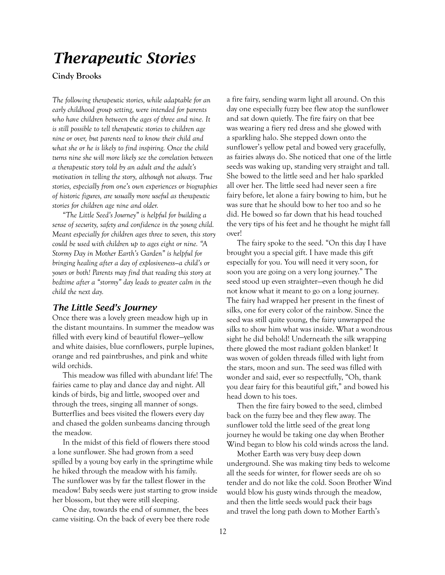### *Therapeutic Stories*

### **Cindy Brooks**

*The following therapeutic stories, while adaptable for an early childhood group setting, were intended for parents who have children between the ages of three and nine. It is still possible to tell therapeutic stories to children age nine or over, but parents need to know their child and what she or he is likely to find inspiring. Once the child turns nine she will more likely see the correlation between a therapeutic story told by an adult and the adult's motivation in telling the story, although not always. True stories, especially from one's own experiences or biographies of historic figures, are usually more useful as therapeutic stories for children age nine and older.* 

*"The Little Seed's Journey" is helpful for building a sense of security, safety and confidence in the young child. Meant especially for children ages three to seven, this story could be used with children up to ages eight or nine. "A Stormy Day in Mother Earth's Garden" is helpful for bringing healing after a day of explosiveness—a child's or yours or both! Parents may find that reading this story at bedtime after a "stormy" day leads to greater calm in the child the next day.*

#### *The Little Seed's Journey*

Once there was a lovely green meadow high up in the distant mountains. In summer the meadow was filled with every kind of beautiful flower—yellow and white daisies, blue cornflowers, purple lupines, orange and red paintbrushes, and pink and white wild orchids.

This meadow was filled with abundant life! The fairies came to play and dance day and night. All kinds of birds, big and little, swooped over and through the trees, singing all manner of songs. Butterflies and bees visited the flowers every day and chased the golden sunbeams dancing through the meadow.

In the midst of this field of flowers there stood a lone sunflower. She had grown from a seed spilled by a young boy early in the springtime while he hiked through the meadow with his family. The sunflower was by far the tallest flower in the meadow! Baby seeds were just starting to grow inside her blossom, but they were still sleeping.

One day, towards the end of summer, the bees came visiting. On the back of every bee there rode a fire fairy, sending warm light all around. On this day one especially fuzzy bee flew atop the sunflower and sat down quietly. The fire fairy on that bee was wearing a fiery red dress and she glowed with a sparkling halo. She stepped down onto the sunflower's yellow petal and bowed very gracefully, as fairies always do. She noticed that one of the little seeds was waking up, standing very straight and tall. She bowed to the little seed and her halo sparkled all over her. The little seed had never seen a fire fairy before, let alone a fairy bowing to him, but he was sure that he should bow to her too and so he did. He bowed so far down that his head touched the very tips of his feet and he thought he might fall over!

The fairy spoke to the seed. "On this day I have brought you a special gift. I have made this gift especially for you. You will need it very soon, for soon you are going on a very long journey." The seed stood up even straighter—even though he did not know what it meant to go on a long journey. The fairy had wrapped her present in the finest of silks, one for every color of the rainbow. Since the seed was still quite young, the fairy unwrapped the silks to show him what was inside. What a wondrous sight he did behold! Underneath the silk wrapping there glowed the most radiant golden blanket! It was woven of golden threads filled with light from the stars, moon and sun. The seed was filled with wonder and said, ever so respectfully, "Oh, thank you dear fairy for this beautiful gift," and bowed his head down to his toes.

Then the fire fairy bowed to the seed, climbed back on the fuzzy bee and they flew away. The sunflower told the little seed of the great long journey he would be taking one day when Brother Wind began to blow his cold winds across the land.

Mother Earth was very busy deep down underground. She was making tiny beds to welcome all the seeds for winter, for flower seeds are oh so tender and do not like the cold. Soon Brother Wind would blow his gusty winds through the meadow, and then the little seeds would pack their bags and travel the long path down to Mother Earth's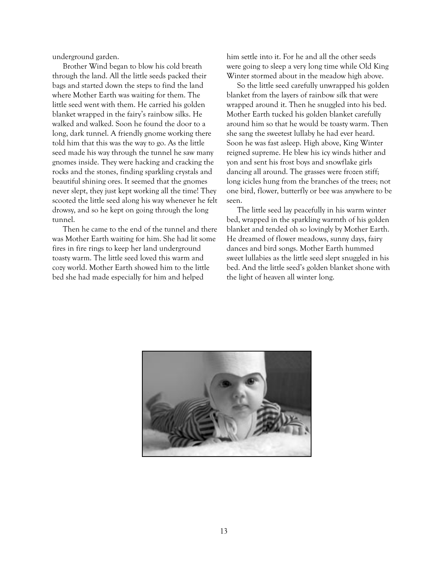underground garden.

Brother Wind began to blow his cold breath through the land. All the little seeds packed their bags and started down the steps to find the land where Mother Earth was waiting for them. The little seed went with them. He carried his golden blanket wrapped in the fairy's rainbow silks. He walked and walked. Soon he found the door to a long, dark tunnel. A friendly gnome working there told him that this was the way to go. As the little seed made his way through the tunnel he saw many gnomes inside. They were hacking and cracking the rocks and the stones, finding sparkling crystals and beautiful shining ores. It seemed that the gnomes never slept, they just kept working all the time! They scooted the little seed along his way whenever he felt drowsy, and so he kept on going through the long tunnel.

Then he came to the end of the tunnel and there was Mother Earth waiting for him. She had lit some fires in fire rings to keep her land underground toasty warm. The little seed loved this warm and cozy world. Mother Earth showed him to the little bed she had made especially for him and helped

him settle into it. For he and all the other seeds were going to sleep a very long time while Old King Winter stormed about in the meadow high above.

So the little seed carefully unwrapped his golden blanket from the layers of rainbow silk that were wrapped around it. Then he snuggled into his bed. Mother Earth tucked his golden blanket carefully around him so that he would be toasty warm. Then she sang the sweetest lullaby he had ever heard. Soon he was fast asleep. High above, King Winter reigned supreme. He blew his icy winds hither and yon and sent his frost boys and snowflake girls dancing all around. The grasses were frozen stiff; long icicles hung from the branches of the trees; not one bird, flower, butterfly or bee was anywhere to be seen.

The little seed lay peacefully in his warm winter bed, wrapped in the sparkling warmth of his golden blanket and tended oh so lovingly by Mother Earth. He dreamed of flower meadows, sunny days, fairy dances and bird songs. Mother Earth hummed sweet lullabies as the little seed slept snuggled in his bed. And the little seed's golden blanket shone with the light of heaven all winter long.

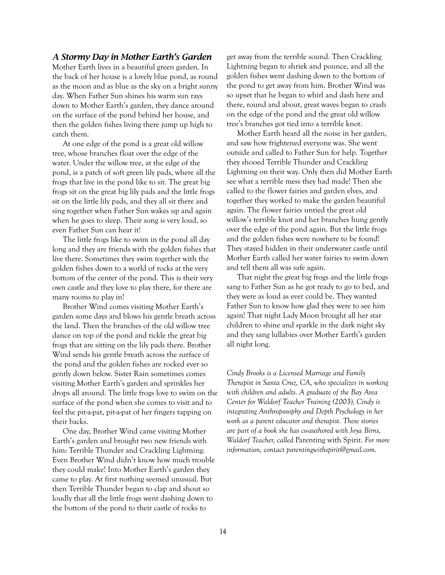#### *A Stormy Day in Mother Earth's Garden*

Mother Earth lives in a beautiful green garden. In the back of her house is a lovely blue pond, as round as the moon and as blue as the sky on a bright sunny day. When Father Sun shines his warm sun rays down to Mother Earth's garden, they dance around on the surface of the pond behind her house, and then the golden fishes living there jump up high to catch them.

At one edge of the pond is a great old willow tree, whose branches float over the edge of the water. Under the willow tree, at the edge of the pond, is a patch of soft green lily pads, where all the frogs that live in the pond like to sit. The great big frogs sit on the great big lily pads and the little frogs sit on the little lily pads, and they all sit there and sing together when Father Sun wakes up and again when he goes to sleep. Their song is very loud, so even Father Sun can hear it!

The little frogs like to swim in the pond all day long and they are friends with the golden fishes that live there. Sometimes they swim together with the golden fishes down to a world of rocks at the very bottom of the center of the pond. This is their very own castle and they love to play there, for there are many rooms to play in!

Brother Wind comes visiting Mother Earth's garden some days and blows his gentle breath across the land. Then the branches of the old willow tree dance on top of the pond and tickle the great big frogs that are sitting on the lily pads there. Brother Wind sends his gentle breath across the surface of the pond and the golden fishes are rocked ever so gently down below. Sister Rain sometimes comes visiting Mother Earth's garden and sprinkles her drops all around. The little frogs love to swim on the surface of the pond when she comes to visit and to feel the pit-a-pat, pit-a-pat of her fingers tapping on their backs.

One day, Brother Wind came visiting Mother Earth's garden and brought two new friends with him: Terrible Thunder and Crackling Lightning. Even Brother Wind didn't know how much trouble they could make! Into Mother Earth's garden they came to play. At first nothing seemed unusual. But then Terrible Thunder began to clap and shout so loudly that all the little frogs went dashing down to the bottom of the pond to their castle of rocks to

get away from the terrible sound. Then Crackling Lightning began to shriek and pounce, and all the golden fishes went dashing down to the bottom of the pond to get away from him. Brother Wind was so upset that he began to whirl and dash here and there, round and about, great waves began to crash on the edge of the pond and the great old willow tree's branches got tied into a terrible knot.

Mother Earth heard all the noise in her garden, and saw how frightened everyone was. She went outside and called to Father Sun for help. Together they shooed Terrible Thunder and Crackling Lightning on their way. Only then did Mother Earth see what a terrible mess they had made! Then she called to the flower fairies and garden elves, and together they worked to make the garden beautiful again. The flower fairies untied the great old willow's terrible knot and her branches hung gently over the edge of the pond again. But the little frogs and the golden fishes were nowhere to be found! They stayed hidden in their underwater castle until Mother Earth called her water fairies to swim down and tell them all was safe again.

That night the great big frogs and the little frogs sang to Father Sun as he got ready to go to bed, and they were as loud as ever could be. They wanted Father Sun to know how glad they were to see him again! That night Lady Moon brought all her star children to shine and sparkle in the dark night sky and they sang lullabies over Mother Earth's garden all night long.

*Cindy Brooks is a Licensed Marriage and Family Therapist in Santa Cruz, CA, who specializes in working with children and adults. A graduate of the Bay Area Center for Waldorf Teacher Training (2003), Cindy is integrating Anthroposophy and Depth Psychology in her work as a parent educator and therapist. These stories are part of a book she has co-authored with Joya Birns, Waldorf Teacher, called* Parenting with Spirit. *For more information, contact parentingwithspirit@gmail.com.*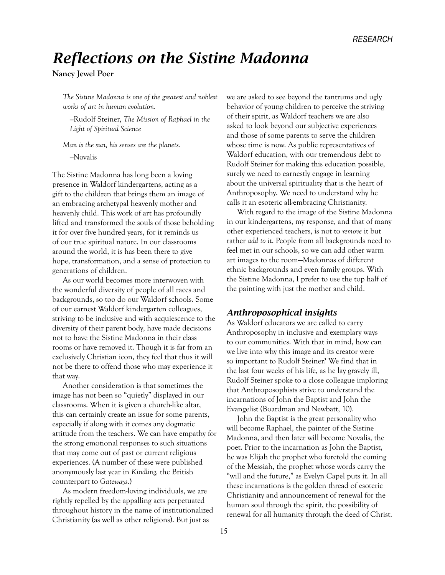### *Reflections on the Sistine Madonna*

**Nancy Jewel Poer**

*The Sistine Madonna is one of the greatest and noblest works of art in human evolution.* 

*—*Rudolf Steiner, *The Mission of Raphael in the Light of Spiritual Science*

*Man is the sun, his senses are the planets.*

*—*Novalis

The Sistine Madonna has long been a loving presence in Waldorf kindergartens, acting as a gift to the children that brings them an image of an embracing archetypal heavenly mother and heavenly child. This work of art has profoundly lifted and transformed the souls of those beholding it for over five hundred years, for it reminds us of our true spiritual nature. In our classrooms around the world, it is has been there to give hope, transformation, and a sense of protection to generations of children.

As our world becomes more interwoven with the wonderful diversity of people of all races and backgrounds, so too do our Waldorf schools. Some of our earnest Waldorf kindergarten colleagues, striving to be inclusive and with acquiescence to the diversity of their parent body, have made decisions not to have the Sistine Madonna in their class rooms or have removed it. Though it is far from an exclusively Christian icon, they feel that thus it will not be there to offend those who may experience it that way.

Another consideration is that sometimes the image has not been so "quietly" displayed in our classrooms. When it is given a church-like altar, this can certainly create an issue for some parents, especially if along with it comes any dogmatic attitude from the teachers. We can have empathy for the strong emotional responses to such situations that may come out of past or current religious experiences. (A number of these were published anonymously last year in *Kindling,* the British counterpart to *Gateways*.)

As modern freedom-loving individuals, we are rightly repelled by the appalling acts perpetuated throughout history in the name of institutionalized Christianity (as well as other religions). But just as

we are asked to see beyond the tantrums and ugly behavior of young children to perceive the striving of their spirit, as Waldorf teachers we are also asked to look beyond our subjective experiences and those of some parents to serve the children whose time is now. As public representatives of Waldorf education, with our tremendous debt to Rudolf Steiner for making this education possible, surely we need to earnestly engage in learning about the universal spirituality that is the heart of Anthroposophy. We need to understand why he calls it an esoteric all-embracing Christianity.

With regard to the image of the Sistine Madonna in our kindergartens, my response, and that of many other experienced teachers, is not to *remove* it but rather *add to it*. People from all backgrounds need to feel met in our schools, so we can add other warm art images to the room—Madonnas of different ethnic backgrounds and even family groups. With the Sistine Madonna, I prefer to use the top half of the painting with just the mother and child.

#### *Anthroposophical insights*

As Waldorf educators we are called to carry Anthroposophy in inclusive and exemplary ways to our communities. With that in mind, how can we live into why this image and its creator were so important to Rudolf Steiner? We find that in the last four weeks of his life, as he lay gravely ill, Rudolf Steiner spoke to a close colleague imploring that Anthroposophists strive to understand the incarnations of John the Baptist and John the Evangelist (Boardman and Newbatt, 10).

John the Baptist is the great personality who will become Raphael, the painter of the Sistine Madonna, and then later will become Novalis, the poet. Prior to the incarnation as John the Baptist, he was Elijah the prophet who foretold the coming of the Messiah, the prophet whose words carry the "will and the future," as Evelyn Capel puts it. In all these incarnations is the golden thread of esoteric Christianity and announcement of renewal for the human soul through the spirit, the possibility of renewal for all humanity through the deed of Christ.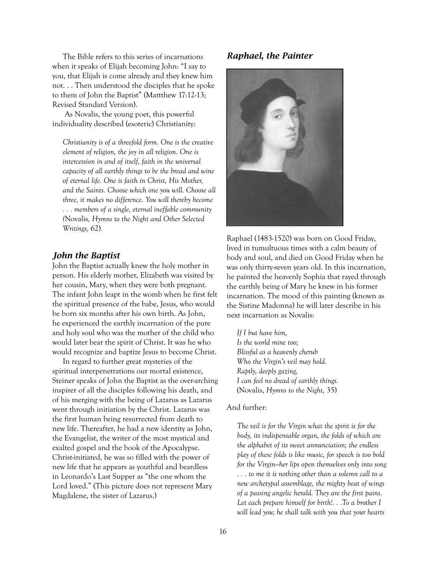The Bible refers to this series of incarnations when it speaks of Elijah becoming John: "I say to you, that Elijah is come already and they knew him not. . . Then understood the disciples that he spoke to them of John the Baptist" (Mattthew 17:12-13; Revised Standard Version).

 As Novalis, the young poet, this powerful individuality described (esoteric) Christianity:

*Christianity is of a threefold form. One is the creative element of religion, the joy in all religion. One is intercession in and of itself, faith in the universal capacity of all earthly things to be the bread and wine of eternal life. One is faith in Christ, His Mother, and the Saints. Choose which one you will. Choose all three, it makes no difference. You will thereby become . . . members of a single, eternal ineffable community (*Novalis*, Hymns to the Night and Other Selected Writings,* 62)*.*

#### *John the Baptist*

John the Baptist actually knew the holy mother in person. His elderly mother, Elizabeth was visited by her cousin, Mary, when they were both pregnant. The infant John leapt in the womb when he first felt the spiritual presence of the babe, Jesus, who would be born six months after his own birth. As John, he experienced the earthly incarnation of the pure and holy soul who was the mother of the child who would later bear the spirit of Christ. It was he who would recognize and baptize Jesus to become Christ.

In regard to further great mysteries of the spiritual interpenetrations our mortal existence, Steiner speaks of John the Baptist as the over-arching inspirer of all the disciples following his death, and of his merging with the being of Lazarus as Lazarus went through initiation by the Christ. Lazarus was the first human being resurrected from death to new life. Thereafter, he had a new identity as John, the Evangelist, the writer of the most mystical and exalted gospel and the book of the Apocalypse. Christ-initiated, he was so filled with the power of new life that he appears as youthful and beardless in Leonardo's Last Supper as "the one whom the Lord loved." (This picture does not represent Mary Magdalene, the sister of Lazarus.)

#### *Raphael, the Painter*



Raphael (1483-1520) was born on Good Friday, lived in tumultuous times with a calm beauty of body and soul, and died on Good Friday when he was only thirty-seven years old. In this incarnation, he painted the heavenly Sophia that rayed through the earthly being of Mary he knew in his former incarnation. The mood of this painting (known as the Sistine Madonna) he will later describe in his next incarnation as Novalis:

*If I but have him, Is the world mine too; Blissful as a heavenly cherub Who the Virgin's veil may hold. Raptly, deeply gazing, I can feel no dread of earthly things.*  (Novalis, *Hymns to the Night,* 35)

#### And further:

*The veil is for the Virgin what the spirit is for the body, its indispensable organ, the folds of which are the alphabet of its sweet annunciation; the endless play of these folds is like music, for speech is too bold for the Virgin—her lips open themselves only into song . . . to me it is nothing other than a solemn call to a new archetypal assemblage, the mighty beat of wings of a passing angelic herald. They are the first pains. Let each prepare himself for birth!. . .To a brother I will lead you; he shall talk with you that your hearts*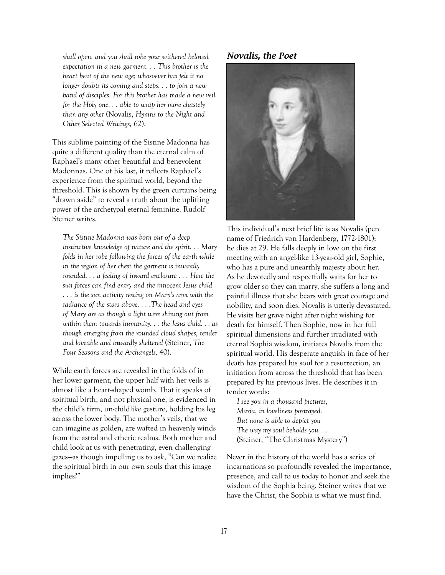*shall open, and you shall robe your withered beloved expectation in a new garment. . . This brother is the heart beat of the new age; whosoever has felt it no longer doubts its coming and steps. . . to join a new band of disciples. For this brother has made a new veil for the Holy one. . . able to wrap her more chastely than any other* (Novalis, *Hymns to the Night and Other Selected Writings,* 62).

This sublime painting of the Sistine Madonna has quite a different quality than the eternal calm of Raphael's many other beautiful and benevolent Madonnas. One of his last, it reflects Raphael's experience from the spiritual world, beyond the threshold. This is shown by the green curtains being "drawn aside" to reveal a truth about the uplifting power of the archetypal eternal feminine. Rudolf Steiner writes,

*The Sistine Madonna was born out of a deep instinctive knowledge of nature and the spirit. . . Mary folds in her robe following the forces of the earth while in the region of her chest the garment is inwardly rounded. . . a feeling of inward enclosure . . . Here the sun forces can find entry and the innocent Jesus child . . . is the sun activity resting on Mary's arm with the radiance of the stars above. . . .The head and eyes of Mary are as though a light were shining out from within them towards humanity. . . the Jesus child. . . as though emerging from the rounded cloud shapes, tender and loveable and inwardly sheltered* (Steiner, *The Four Seasons and the Archangels,* 40).

While earth forces are revealed in the folds of in her lower garment, the upper half with her veils is almost like a heart-shaped womb. That it speaks of spiritual birth, and not physical one, is evidenced in the child's firm, un-childlike gesture, holding his leg across the lower body. The mother's veils, that we can imagine as golden, are wafted in heavenly winds from the astral and etheric realms. Both mother and child look at us with penetrating, even challenging gazes—as though impelling us to ask, "Can we realize the spiritual birth in our own souls that this image implies?"

#### *Novalis, the Poet*



This individual's next brief life is as Novalis (pen name of Friedrich von Hardenberg, 1772-1801); he dies at 29. He falls deeply in love on the first meeting with an angel-like 13-year-old girl, Sophie, who has a pure and unearthly majesty about her. As he devotedly and respectfully waits for her to grow older so they can marry, she suffers a long and painful illness that she bears with great courage and nobility, and soon dies. Novalis is utterly devastated. He visits her grave night after night wishing for death for himself. Then Sophie, now in her full spiritual dimensions and further irradiated with eternal Sophia wisdom, initiates Novalis from the spiritual world. His desperate anguish in face of her death has prepared his soul for a resurrection, an initiation from across the threshold that has been prepared by his previous lives. He describes it in tender words:

*I see you in a thousand pictures, Maria, in loveliness portrayed. But none is able to depict you The way my soul beholds you. . .*  (Steiner, "The Christmas Mystery")

Never in the history of the world has a series of incarnations so profoundly revealed the importance, presence, and call to us today to honor and seek the wisdom of the Sophia being. Steiner writes that we have the Christ, the Sophia is what we must find.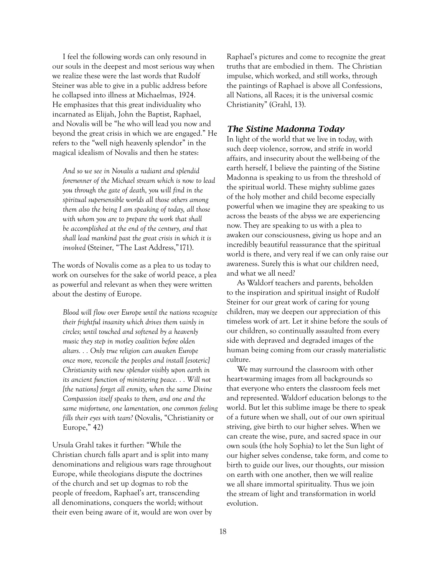I feel the following words can only resound in our souls in the deepest and most serious way when we realize these were the last words that Rudolf Steiner was able to give in a public address before he collapsed into illness at Michaelmas, 1924. He emphasizes that this great individuality who incarnated as Elijah, John the Baptist, Raphael, and Novalis will be "he who will lead you now and beyond the great crisis in which we are engaged." He refers to the "well nigh heavenly splendor" in the magical idealism of Novalis and then he states:

*And so we see in Novalis a radiant and splendid forerunner of the Michael stream which is now to lead you through the gate of death, you will find in the spiritual supersensible worlds all those others among them also the being I am speaking of today, all those with whom you are to prepare the work that shall be accomplished at the end of the century, and that shall lead mankind past the great crisis in which it is involved* (Steiner, "The Last Address,"171).

The words of Novalis come as a plea to us today to work on ourselves for the sake of world peace, a plea as powerful and relevant as when they were written about the destiny of Europe.

*Blood will flow over Europe until the nations recognize their frightful insanity which drives them vainly in circles; until touched and softened by a heavenly music they step in motley coalition before olden altars. . . Only true religion can awaken Europe once more, reconcile the peoples and install [esoteric] Christianity with new splendor visibly upon earth in its ancient function of ministering peace. . . Will not [the nations] forget all enmity, when the same Divine Compassion itself speaks to them, and one and the same misfortune, one lamentation, one common feeling fills their eyes with tears?* (Novalis, "Christianity or Europe," 42)

Ursula Grahl takes it further: "While the Christian church falls apart and is split into many denominations and religious wars rage throughout Europe, while theologians dispute the doctrines of the church and set up dogmas to rob the people of freedom, Raphael's art, transcending all denominations, conquers the world; without their even being aware of it, would are won over by

Raphael's pictures and come to recognize the great truths that are embodied in them. The Christian impulse, which worked, and still works, through the paintings of Raphael is above all Confessions, all Nations, all Races; it is the universal cosmic Christianity" (Grahl, 13).

#### *The Sistine Madonna Today*

In light of the world that we live in today, with such deep violence, sorrow, and strife in world affairs, and insecurity about the well-being of the earth herself, I believe the painting of the Sistine Madonna is speaking to us from the threshold of the spiritual world. These mighty sublime gazes of the holy mother and child become especially powerful when we imagine they are speaking to us across the beasts of the abyss we are experiencing now. They are speaking to us with a plea to awaken our consciousness, giving us hope and an incredibly beautiful reassurance that the spiritual world is there, and very real if we can only raise our awareness. Surely this is what our children need, and what we all need?

As Waldorf teachers and parents, beholden to the inspiration and spiritual insight of Rudolf Steiner for our great work of caring for young children, may we deepen our appreciation of this timeless work of art. Let it shine before the souls of our children, so continually assaulted from every side with depraved and degraded images of the human being coming from our crassly materialistic culture.

We may surround the classroom with other heart-warming images from all backgrounds so that everyone who enters the classroom feels met and represented. Waldorf education belongs to the world. But let this sublime image be there to speak of a future when we shall, out of our own spiritual striving, give birth to our higher selves. When we can create the wise, pure, and sacred space in our own souls (the holy Sophia) to let the Sun light of our higher selves condense, take form, and come to birth to guide our lives, our thoughts, our mission on earth with one another, then we will realize we all share immortal spirituality. Thus we join the stream of light and transformation in world evolution.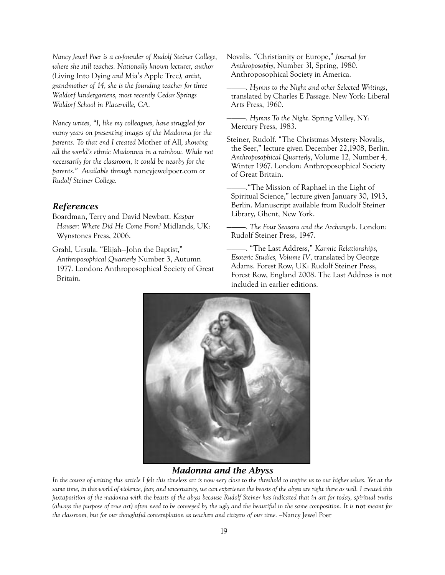*Nancy Jewel Poer is a co-founder of Rudolf Steiner College, where she still teaches. Nationally known lecturer, author (*Living Into Dying *and* Mia's Apple Tree*), artist, grandmother of 14, she is the founding teacher for three Waldorf kindergartens, most recently Cedar Springs Waldorf School in Placerville, CA.*

*Nancy writes, "I, like my colleagues, have struggled for many years on presenting images of the Madonna for the parents. To that end I created* Mother of All*, showing all the world's ethnic Madonnas in a rainbow. While not necessarily for the classroom, it could be nearby for the parents." Available through* nancyjewelpoer.com *or Rudolf Steiner College.*

#### *References*

Boardman, Terry and David Newbatt. *Kaspar Hauser: Where Did He Come From?* Midlands, UK: Wynstones Press, 2006.

Grahl, Ursula. "Elijah—John the Baptist," *Anthroposophical Quarterly* Number 3, Autumn 1977. London: Anthroposophical Society of Great Britain.

Novalis. "Christianity or Europe," *Journal for Anthroposophy*, Number 3l, Spring, 1980. Anthroposophical Society in America.

————. *Hymns to the Night and other Selected Writings*, translated by Charles E Passage. New York: Liberal Arts Press, 1960.

————. *Hymns To the Night*. Spring Valley, NY: Mercury Press, 1983.

Steiner, Rudolf. "The Christmas Mystery: Novalis, the Seer," lecture given December 22,1908, Berlin. *Anthroposophical Quarterly*, Volume 12, Number 4, Winter 1967. London: Anthroposophical Society of Great Britain.

————."The Mission of Raphael in the Light of Spiritual Science," lecture given January 30, 1913, Berlin. Manuscript available from Rudolf Steiner Library, Ghent, New York.

————. *The Four Seasons and the Archangels*. London: Rudolf Steiner Press, 1947.

————. "The Last Address," *Karmic Relationships, Esoteric Studies, Volume IV*, translated by George Adams. Forest Row, UK: Rudolf Steiner Press, Forest Row, England 2008. The Last Address is not included in earlier editions.



#### *Madonna and the Abyss*

*In the course of writing this article I felt this timeless art is now very close to the threshold to inspire us to our higher selves. Yet at the same time, in this world of violence, fear, and uncertainty, we can experience the beasts of the abyss are right there as well. I created this juxtaposition of the madonna with the beasts of the abyss because Rudolf Steiner has indicated that in art for today, spiritual truths (always the purpose of true art) often need to be conveyed by the ugly and the beautiful in the same composition. It is not meant for the classroom, but for our thoughtful contemplation as teachers and citizens of our time. —*Nancy Jewel Poer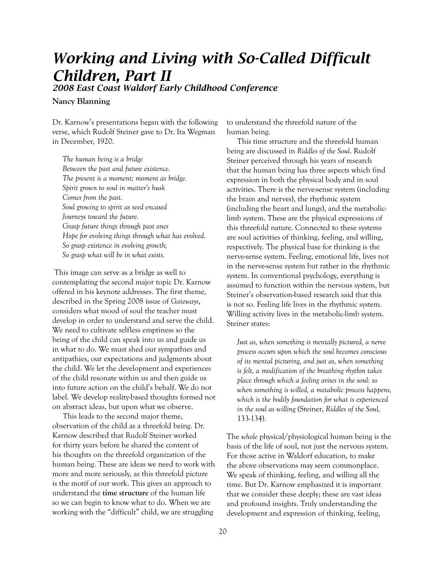## *Working and Living with So-Called Difficult Children, Part II*

*2008 East Coast Waldorf Early Childhood Conference*

#### **Nancy Blanning**

Dr. Karnow's presentations began with the following verse, which Rudolf Steiner gave to Dr. Ita Wegman in December, 1920.

*The human being is a bridge Between the past and future existence. The present is a moment; moment as bridge. Spirit grown to soul in matter's husk Comes from the past. Soul growing to spirit as seed encased Journeys toward the future. Grasp future things through past ones Hope for evolving things through what has evolved. So grasp existence in evolving growth; So grasp what will be in what exists.*

 This image can serve as a bridge as well to contemplating the second major topic Dr. Karnow offered in his keynote addresses. The first theme, described in the Spring 2008 issue of *Gateways*, considers what mood of soul the teacher must develop in order to understand and serve the child. We need to cultivate selfless emptiness so the being of the child can speak into us and guide us in what to do. We must shed our sympathies and antipathies, our expectations and judgments about the child. We let the development and experiences of the child resonate within us and then guide us into future action on the child's behalf. We do not label. We develop reality-based thoughts formed not on abstract ideas, but upon what we observe.

This leads to the second major theme, observation of the child as a threefold being. Dr. Karnow described that Rudolf Steiner worked for thirty years before he shared the content of his thoughts on the threefold organization of the human being. These are ideas we need to work with more and more seriously, as this threefold picture is the motif of our work. This gives an approach to understand the **time structure** of the human life so we can begin to know what to do. When we are working with the "difficult" child, we are struggling

to understand the threefold nature of the human being.

This time structure and the threefold human being are discussed in *Riddles of the Soul*. Rudolf Steiner perceived through his years of research that the human being has three aspects which find expression in both the physical body and in soul activities. There is the nerve-sense system (including the brain and nerves), the rhythmic system (including the heart and lungs), and the metaboliclimb system. These are the physical expressions of this threefold nature. Connected to these systems are soul activities of thinking, feeling, and willing, respectively. The physical base for thinking is the nerve-sense system. Feeling, emotional life, lives not in the nerve-sense system but rather in the rhythmic system. In conventional psychology, everything is assumed to function within the nervous system, but Steiner's observation-based research said that this is not so. Feeling life lives in the rhythmic system. Willing activity lives in the metabolic-limb system. Steiner states:

*Just as, when something is mentally pictured, a nerve process occurs upon which the soul becomes conscious of its mental picturing, and just as, when something is felt, a modification of the breathing rhythm takes place through which a feeling arises in the soul: so when something is willed, a metabolic process happens, which is the bodily foundation for what is experienced in the soul as willing* (Steiner, *Riddles of the Soul,*  133-134).

The *whole* physical/physiological human being is the basis of the life of soul, not just the nervous system. For those active in Waldorf education, to make the above observations may seem commonplace. We speak of thinking, feeling, and willing all the time. But Dr. Karnow emphasized it is important that we consider these deeply; these are vast ideas and profound insights. Truly understanding the development and expression of thinking, feeling,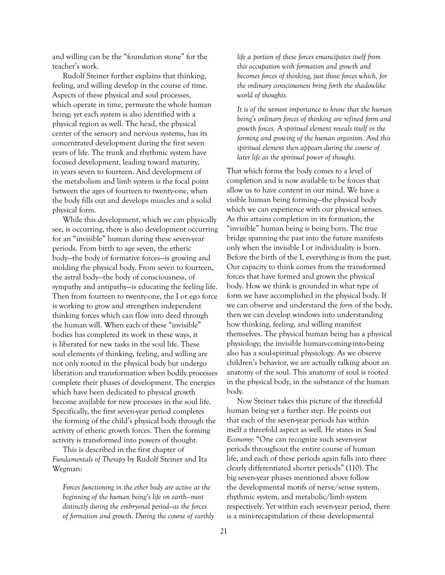and willing can be the "foundation stone" for the teacher's work.

Rudolf Steiner further explains that thinking, feeling, and willing develop in the course of time. Aspects of these physical and soul processes, which operate in time, permeate the whole human being; yet each system is also identified with a physical region as well. The head, the physical center of the sensory and nervous systems, has its concentrated development during the first seven years of life. The trunk and rhythmic system have focused development, leading toward maturity, in years seven to fourteen. And development of the metabolism and limb system is the focal point between the ages of fourteen to twenty-one, when the body fills out and develops muscles and a solid physical form.

While this development, which we can physically see, is occurring, there is also development occurring for an "invisible" human during these seven-year periods. From birth to age seven, the etheric body—the body of formative forces—is growing and molding the physical body. From seven to fourteen, the astral body—the body of consciousness, of sympathy and antipathy—is educating the feeling life. Then from fourteen to twenty-one, the I or ego force is working to grow and strengthen independent thinking forces which can flow into deed through the human will. When each of these "invisible" bodies has completed its work in these ways, it is liberated for new tasks in the soul life. These soul elements of thinking, feeling, and willing are not only rooted in the physical body but undergo liberation and transformation when bodily processes complete their phases of development. The energies which have been dedicated to physical growth become available for new processes in the soul life. Specifically, the first seven-year period completes the forming of the child's physical body through the activity of etheric growth forces. Then the forming activity is transformed into powers of thought.

This is described in the first chapter of *Fundamentals of Therapy* by Rudolf Steiner and Ita Wegman:

*Forces functioning in the ether body are active at the beginning of the human being's life on earth—most distinctly during the embryonal period—as the forces of formation and growth. During the course of earthly*  *life a portion of these forces emancipates itself from this occupation with formation and growth and becomes forces of thinking, just those forces which, for the ordinary consciousness bring forth the shadowlike world of thoughts.*

*It is of the utmost importance to know that the human being's ordinary forces of thinking are refined form and growth forces. A spiritual element reveals itself in the forming and growing of the human organism. And this spiritual element then appears during the course of later life as the spiritual power of thought.*

That which forms the body comes to a level of completion and is now available to be forces that allow us to have content in our mind. We have a visible human being forming—the physical body which we can experience with our physical senses. As this attains completion in its formation, the "invisible" human being is being born. The true bridge spanning the past into the future manifests only when the invisible I or individuality is born. Before the birth of the I, everything is from the past. Our capacity to think comes from the transformed forces that have formed and grown the physical body. How we think is grounded in what type of form we have accomplished in the physical body. If we can observe and understand the *form* of the body, then we can develop windows into understanding how thinking, feeling, and willing manifest themselves. The physical human being has a physical physiology; the invisible human-coming-into-being also has a soul-spiritual physiology. As we observe children's behavior, we are actually talking about an anatomy of the soul. This anatomy of soul is rooted in the physical body, in the substance of the human body.

Now Steiner takes this picture of the threefold human being yet a further step. He points out that each of the seven-year periods has within itself a threefold aspect as well. He states in *Soul Economy*: "One can recognize such seven-year periods throughout the entire course of human life, and each of these periods again falls into three clearly differentiated shorter periods" (110). The big seven-year phases mentioned above follow the developmental motifs of nerve/sense system, rhythmic system, and metabolic/limb system respectively. Yet within each seven-year period, there is a mini-recapitulation of these developmental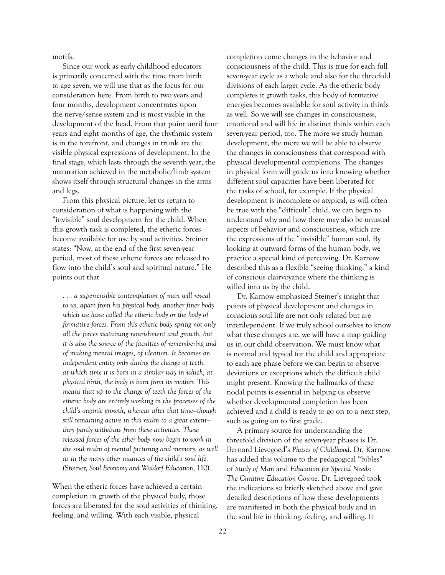motifs.

Since our work as early childhood educators is primarily concerned with the time from birth to age seven, we will use that as the focus for our consideration here. From birth to two years and four months, development concentrates upon the nerve/sense system and is most visible in the development of the head. From that point until four years and eight months of age, the rhythmic system is in the forefront, and changes in trunk are the visible physical expressions of development. In the final stage, which lasts through the seventh year, the maturation achieved in the metabolic/limb system shows itself through structural changes in the arms and legs.

From this physical picture, let us return to consideration of what is happening with the "invisible" soul development for the child. When this growth task is completed, the etheric forces become available for use by soul activities. Steiner states: "Now, at the end of the first seven-year period, most of these etheric forces are released to flow into the child's soul and spiritual nature." He points out that

*. . . a supersensible contemplation of man will reveal to us, apart from his physical body, another finer body which we have called the etheric body or the body of formative forces. From this etheric body spring not only all the forces sustaining nourishment and growth, but it is also the source of the faculties of remembering and of making mental images, of ideation. It becomes an independent entity only during the change of teeth, at which time it is born in a similar way in which, at physical birth, the body is born from its mother. This means that up to the change of teeth the forces of the etheric body are entirely working in the processes of the child's organic growth, whereas after that time—though still remaining active in this realm to a great extent they partly withdraw from these activities. These released forces of the ether body now begin to work in the soul realm of mental picturing and memory, as well as in the many other nuances of the child's soul life. (*Steiner, *Soul Economy and Waldorf Education*, 110).

When the etheric forces have achieved a certain completion in growth of the physical body, those forces are liberated for the soul activities of thinking, feeling, and willing. With each visible, physical

completion come changes in the behavior and consciousness of the child. This is true for each full seven-year cycle as a whole and also for the threefold divisions of each larger cycle. As the etheric body completes it growth tasks, this body of formative energies becomes available for soul activity in thirds as well. So we will see changes in consciousness, emotional and will life in distinct thirds within each seven-year period, too. The more we study human development, the more we will be able to observe the changes in consciousness that correspond with physical developmental completions. The changes in physical form will guide us into knowing whether different soul capacities have been liberated for the tasks of school, for example. If the physical development is incomplete or atypical, as will often be true with the "difficult" child, we can begin to understand why and how there may also be unusual aspects of behavior and consciousness, which are the expressions of the "invisible" human soul. By looking at outward forms of the human body, we practice a special kind of perceiving. Dr. Karnow described this as a flexible "seeing thinking," a kind of conscious clairvoyance where the thinking is willed into us by the child.

Dr. Karnow emphasized Steiner's insight that points of physical development and changes in conscious soul life are not only related but are interdependent. If we truly school ourselves to know what these changes are, we will have a map guiding us in our child observation. We must know what is normal and typical for the child and appropriate to each age phase before we can begin to observe deviations or exceptions which the difficult child might present. Knowing the hallmarks of these nodal points is essential in helping us observe whether developmental completion has been achieved and a child is ready to go on to a next step, such as going on to first grade.

A primary source for understanding the threefold division of the seven-year phases is Dr. Bernard Lievegoed's *Phases of Childhood*. Dr. Karnow has added this volume to the pedagogical "bibles" of *Study of Man* and *Education for Special Needs: The Curative Education Course*. Dr. Lievegoed took the indications so briefly sketched above and gave detailed descriptions of how these developments are manifested in both the physical body and in the soul life in thinking, feeling, and willing. It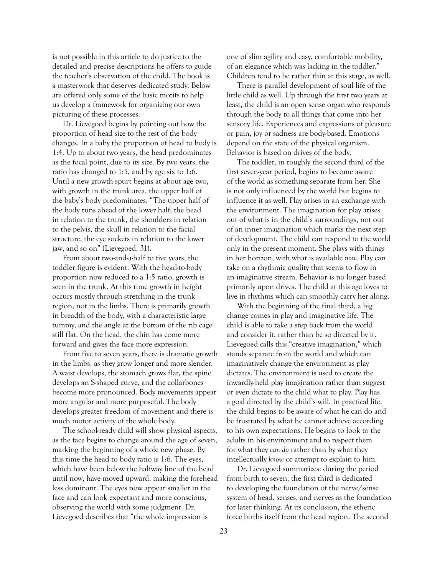is not possible in this article to do justice to the detailed and precise descriptions he offers to guide the teacher's observation of the child. The book is a masterwork that deserves dedicated study. Below are offered only some of the basic motifs to help us develop a framework for organizing our own picturing of these processes.

Dr. Lievegoed begins by pointing out how the proportion of head size to the rest of the body changes. In a baby the proportion of head to body is 1:4. Up to about two years, the head predominates as the focal point, due to its size. By two years, the ratio has changed to 1:5, and by age six to 1:6. Until a new growth spurt begins at about age two, with growth in the trunk area, the upper half of the baby's body predominates. "The upper half of the body runs ahead of the lower half; the head in relation to the trunk, the shoulders in relation to the pelvis, the skull in relation to the facial structure, the eye sockets in relation to the lower jaw, and so on" (Lievegoed, 31).

From about two-and-a-half to five years, the toddler figure is evident. With the head-to-body proportion now reduced to a 1:5 ratio, growth is seen in the trunk. At this time growth in height occurs mostly through stretching in the trunk region, not in the limbs. There is primarily growth in breadth of the body, with a characteristic large tummy, and the angle at the bottom of the rib cage still flat. On the head, the chin has come more forward and gives the face more expression.

From five to seven years, there is dramatic growth in the limbs, as they grow longer and more slender. A waist develops, the stomach grows flat, the spine develops an S-shaped curve, and the collarbones become more pronounced. Body movements appear more angular and more purposeful. The body develops greater freedom of movement and there is much motor activity of the whole body.

The school-ready child will show physical aspects, as the face begins to change around the age of seven, marking the beginning of a whole new phase. By this time the head to body ratio is 1:6. The eyes, which have been below the halfway line of the head until now, have moved upward, making the forehead less dominant. The eyes now appear smaller in the face and can look expectant and more conscious, observing the world with some judgment. Dr. Lievegoed describes that "the whole impression is

one of slim agility and easy, comfortable mobility, of an elegance which was lacking in the toddler." Children tend to be rather thin at this stage, as well.

There is parallel development of soul life of the little child as well. Up through the first two years at least, the child is an open sense organ who responds through the body to all things that come into her sensory life. Experiences and expressions of pleasure or pain, joy or sadness are body-based. Emotions depend on the state of the physical organism. Behavior is based on drives of the body.

The toddler, in roughly the second third of the first seven-year period, begins to become aware of the world as something separate from her. She is not only influenced by the world but begins to influence it as well. Play arises in an exchange with the environment. The imagination for play arises out of what is in the child's surroundings, not out of an inner imagination which marks the next step of development. The child can respond to the world only in the present moment. She plays with things in her horizon, with what is available *now.* Play can take on a rhythmic quality that seems to flow in an imaginative stream. Behavior is no longer based primarily upon drives. The child at this age loves to live in rhythms which can smoothly carry her along.

With the beginning of the final third, a big change comes in play and imaginative life. The child is able to take a step back from the world and consider it, rather than be so directed by it. Lievegoed calls this "creative imagination," which stands separate from the world and which can imaginatively change the environment as play dictates. The environment is used to create the inwardly-held play imagination rather than suggest or even dictate to the child what to play. Play has a goal directed by the child's will. In practical life, the child begins to be aware of what he can do and be frustrated by what he cannot achieve according to his own expectations. He begins to look to the adults in his environment and to respect them for what they *can do* rather than by what they intellectually *know* or attempt to explain to him.

Dr. Lievegoed summarizes: during the period from birth to seven, the first third is dedicated to developing the foundation of the nerve/sense system of head, senses, and nerves as the foundation for later thinking. At its conclusion, the etheric force births itself from the head region. The second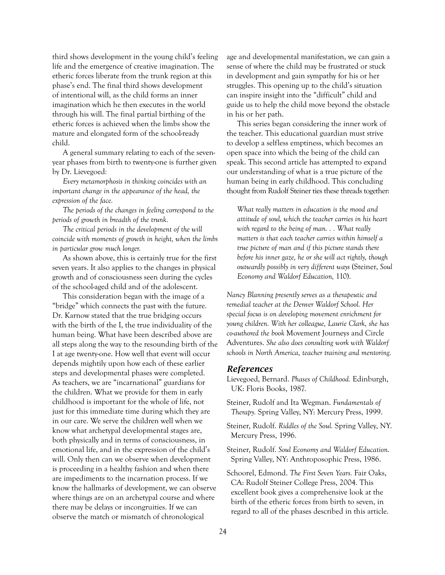third shows development in the young child's feeling life and the emergence of creative imagination. The etheric forces liberate from the trunk region at this phase's end. The final third shows development of intentional will, as the child forms an inner imagination which he then executes in the world through his will. The final partial birthing of the etheric forces is achieved when the limbs show the mature and elongated form of the school-ready child.

A general summary relating to each of the sevenyear phases from birth to twenty-one is further given by Dr. Lievegoed*:*

*Every metamorphosis in thinking coincides with an*  important change in the appearance of the head, the *expression of the face.*

*The periods of the changes in feeling correspond to the periods of growth in breadth of the trunk.*

*The critical periods in the development of the will coincide with moments of growth in height, when the limbs in particular grow much longer.*

As shown above, this is certainly true for the first seven years. It also applies to the changes in physical growth and of consciousness seen during the cycles of the school-aged child and of the adolescent.

This consideration began with the image of a "bridge" which connects the past with the future. Dr. Karnow stated that the true bridging occurs with the birth of the I, the true individuality of the human being. What have been described above are all steps along the way to the resounding birth of the I at age twenty-one. How well that event will occur depends mightily upon how each of these earlier steps and developmental phases were completed. As teachers, we are "incarnational" guardians for the children. What we provide for them in early childhood is important for the whole of life, not just for this immediate time during which they are in our care. We serve the children well when we know what archetypal developmental stages are, both physically and in terms of consciousness, in emotional life, and in the expression of the child's will. Only then can we observe when development is proceeding in a healthy fashion and when there are impediments to the incarnation process. If we know the hallmarks of development, we can observe where things are on an archetypal course and where there may be delays or incongruities. If we can observe the match or mismatch of chronological

age and developmental manifestation, we can gain a sense of where the child may be frustrated or stuck in development and gain sympathy for his or her struggles. This opening up to the child's situation can inspire insight into the "difficult" child and guide us to help the child move beyond the obstacle in his or her path.

This series began considering the inner work of the teacher. This educational guardian must strive to develop a selfless emptiness, which becomes an open space into which the being of the child can speak. This second article has attempted to expand our understanding of what is a true picture of the human being in early childhood. This concluding thought from Rudolf Steiner ties these threads together:

*What really matters in education is the mood and attitude of soul, which the teacher carries in his heart with regard to the being of man. . . What really matters is that each teacher carries within himself a true picture of man and if this picture stands there before his inner gaze, he or she will act rightly, though outwardly possibly in very different ways* (Steiner, *Soul Economy and Waldorf Education,* 110).

*Nancy Blanning presently serves as a therapeutic and remedial teacher at the Denver Waldorf School. Her special focus is on developing movement enrichment for young children. With her colleague, Laurie Clark, she has co-authored the book* Movement Journeys and Circle Adventures. *She also does consulting work with Waldorf schools in North America, teacher training and mentoring.*

#### *References*

Lievegoed, Bernard. *Phases of Childhood.* Edinburgh, UK: Floris Books, 1987.

- Steiner, Rudolf and Ita Wegman. *Fundamentals of Therapy.* Spring Valley, NY: Mercury Press, 1999.
- Steiner, Rudolf. *Riddles of the Soul.* Spring Valley, NY. Mercury Press, 1996.
- Steiner, Rudolf. *Soul Economy and Waldorf Education*. Spring Valley, NY: Anthroposophic Press, 1986.
- Schoorel, Edmond. *The First Seven Years.* Fair Oaks, CA: Rudolf Steiner College Press, 2004. This excellent book gives a comprehensive look at the birth of the etheric forces from birth to seven, in regard to all of the phases described in this article.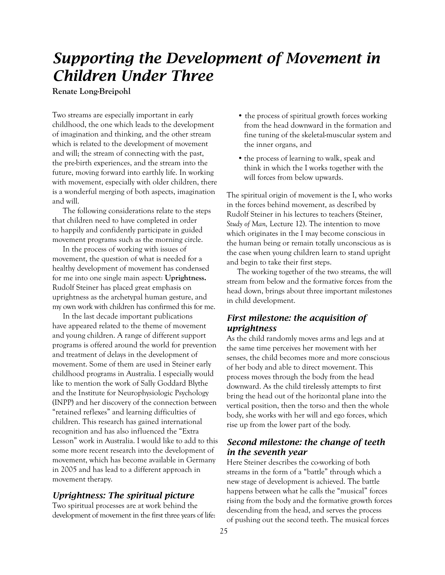## *Supporting the Development of Movement in Children Under Three*

**Renate Long-Breipohl**

Two streams are especially important in early childhood, the one which leads to the development of imagination and thinking, and the other stream which is related to the development of movement and will; the stream of connecting with the past, the pre-birth experiences, and the stream into the future, moving forward into earthly life. In working with movement, especially with older children, there is a wonderful merging of both aspects, imagination and will.

The following considerations relate to the steps that children need to have completed in order to happily and confidently participate in guided movement programs such as the morning circle.

In the process of working with issues of movement, the question of what is needed for a healthy development of movement has condensed for me into one single main aspect: **Uprightness.** Rudolf Steiner has placed great emphasis on uprightness as the archetypal human gesture, and my own work with children has confirmed this for me.

In the last decade important publications have appeared related to the theme of movement and young children. A range of different support programs is offered around the world for prevention and treatment of delays in the development of movement. Some of them are used in Steiner early childhood programs in Australia. I especially would like to mention the work of Sally Goddard Blythe and the Institute for Neurophysiologic Psychology (INPP) and her discovery of the connection between "retained reflexes" and learning difficulties of children. This research has gained international recognition and has also influenced the "Extra Lesson" work in Australia. I would like to add to this some more recent research into the development of movement, which has become available in Germany in 2005 and has lead to a different approach in movement therapy.

#### *Uprightness: The spiritual picture*

Two spiritual processes are at work behind the development of movement in the first three years of life:

- the process of spiritual growth forces working from the head downward in the formation and fine tuning of the skeletal-muscular system and the inner organs, and
- the process of learning to walk, speak and think in which the I works together with the will forces from below upwards.

The spiritual origin of movement is the I, who works in the forces behind movement, as described by Rudolf Steiner in his lectures to teachers (Steiner, *Study of Man,* Lecture 12). The intention to move which originates in the I may become conscious in the human being or remain totally unconscious as is the case when young children learn to stand upright and begin to take their first steps.

The working together of the two streams, the will stream from below and the formative forces from the head down, brings about three important milestones in child development.

#### *First milestone: the acquisition of uprightness*

As the child randomly moves arms and legs and at the same time perceives her movement with her senses, the child becomes more and more conscious of her body and able to direct movement. This process moves through the body from the head downward. As the child tirelessly attempts to first bring the head out of the horizontal plane into the vertical position, then the torso and then the whole body, she works with her will and ego forces, which rise up from the lower part of the body.

### *Second milestone: the change of teeth in the seventh year*

Here Steiner describes the co-working of both streams in the form of a "battle" through which a new stage of development is achieved. The battle happens between what he calls the "musical" forces rising from the body and the formative growth forces descending from the head, and serves the process of pushing out the second teeth. The musical forces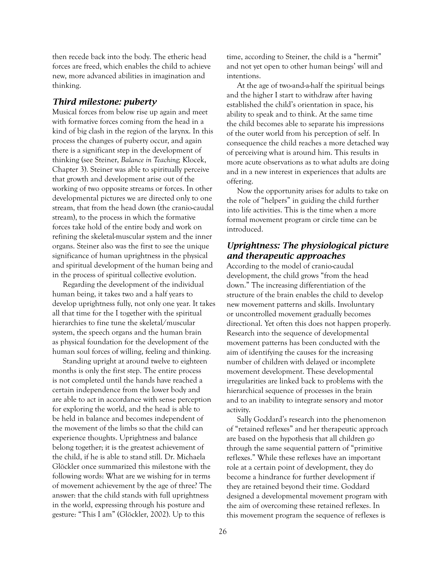then recede back into the body. The etheric head forces are freed, which enables the child to achieve new, more advanced abilities in imagination and thinking.

#### *Third milestone: puberty*

Musical forces from below rise up again and meet with formative forces coming from the head in a kind of big clash in the region of the larynx. In this process the changes of puberty occur, and again there is a significant step in the development of thinking (see Steiner, *Balance in Teaching;* Klocek, Chapter 3). Steiner was able to spiritually perceive that growth and development arise out of the working of two opposite streams or forces. In other developmental pictures we are directed only to one stream, that from the head down (the cranio-caudal stream), to the process in which the formative forces take hold of the entire body and work on refining the skeletal-muscular system and the inner organs. Steiner also was the first to see the unique significance of human uprightness in the physical and spiritual development of the human being and in the process of spiritual collective evolution.

Regarding the development of the individual human being, it takes two and a half years to develop uprightness fully, not only one year. It takes all that time for the I together with the spiritual hierarchies to fine tune the skeletal/muscular system, the speech organs and the human brain as physical foundation for the development of the human soul forces of willing, feeling and thinking.

Standing upright at around twelve to eighteen months is only the first step. The entire process is not completed until the hands have reached a certain independence from the lower body and are able to act in accordance with sense perception for exploring the world, and the head is able to be held in balance and becomes independent of the movement of the limbs so that the child can experience thoughts. Uprightness and balance belong together; it is the greatest achievement of the child, if he is able to stand still. Dr. Michaela Glöckler once summarized this milestone with the following words: What are we wishing for in terms of movement achievement by the age of three? The answer: that the child stands with full uprightness in the world, expressing through his posture and gesture: "This I am" (Glöckler, 2002). Up to this

time, according to Steiner, the child is a "hermit" and not yet open to other human beings' will and intentions.

At the age of two-and-a-half the spiritual beings and the higher I start to withdraw after having established the child's orientation in space, his ability to speak and to think. At the same time the child becomes able to separate his impressions of the outer world from his perception of self. In consequence the child reaches a more detached way of perceiving what is around him. This results in more acute observations as to what adults are doing and in a new interest in experiences that adults are offering.

Now the opportunity arises for adults to take on the role of "helpers" in guiding the child further into life activities. This is the time when a more formal movement program or circle time can be introduced.

#### *Uprightness: The physiological picture and therapeutic approaches*

According to the model of cranio-caudal development, the child grows "from the head down." The increasing differentiation of the structure of the brain enables the child to develop new movement patterns and skills. Involuntary or uncontrolled movement gradually becomes directional. Yet often this does not happen properly. Research into the sequence of developmental movement patterns has been conducted with the aim of identifying the causes for the increasing number of children with delayed or incomplete movement development. These developmental irregularities are linked back to problems with the hierarchical sequence of processes in the brain and to an inability to integrate sensory and motor activity.

Sally Goddard's research into the phenomenon of "retained reflexes" and her therapeutic approach are based on the hypothesis that all children go through the same sequential pattern of "primitive reflexes." While these reflexes have an important role at a certain point of development, they do become a hindrance for further development if they are retained beyond their time. Goddard designed a developmental movement program with the aim of overcoming these retained reflexes. In this movement program the sequence of reflexes is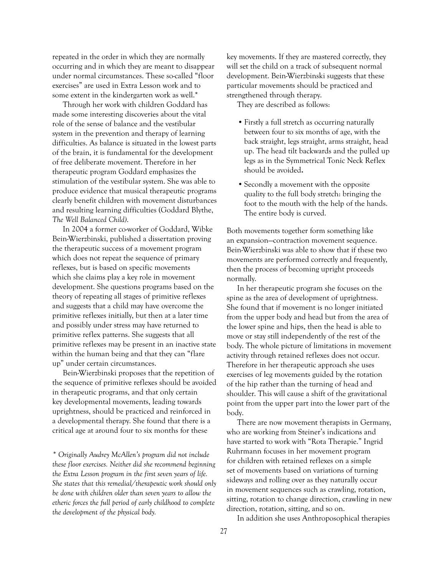repeated in the order in which they are normally occurring and in which they are meant to disappear under normal circumstances. These so-called "floor exercises" are used in Extra Lesson work and to some extent in the kindergarten work as well.\*

Through her work with children Goddard has made some interesting discoveries about the vital role of the sense of balance and the vestibular system in the prevention and therapy of learning difficulties. As balance is situated in the lowest parts of the brain, it is fundamental for the development of free deliberate movement. Therefore in her therapeutic program Goddard emphasizes the stimulation of the vestibular system. She was able to produce evidence that musical therapeutic programs clearly benefit children with movement disturbances and resulting learning difficulties (Goddard Blythe, *The Well Balanced Child)*.

In 2004 a former co-worker of Goddard, Wibke Bein-Wierzbinski, published a dissertation proving the therapeutic success of a movement program which does not repeat the sequence of primary reflexes, but is based on specific movements which she claims play a key role in movement development. She questions programs based on the theory of repeating all stages of primitive reflexes and suggests that a child may have overcome the primitive reflexes initially, but then at a later time and possibly under stress may have returned to primitive reflex patterns. She suggests that all primitive reflexes may be present in an inactive state within the human being and that they can "flare up" under certain circumstances.

Bein-Wierzbinski proposes that the repetition of the sequence of primitive reflexes should be avoided in therapeutic programs, and that only certain key developmental movements, leading towards uprightness, should be practiced and reinforced in a developmental therapy. She found that there is a critical age at around four to six months for these

*\* Originally Audrey McAllen's program did not include these floor exercises. Neither did she recommend beginning the Extra Lesson program in the first seven years of life. She states that this remedial/therapeutic work should only be done with children older than seven years to allow the etheric forces the full period of early childhood to complete the development of the physical body.*

key movements. If they are mastered correctly, they will set the child on a track of subsequent normal development. Bein-Wierzbinski suggests that these particular movements should be practiced and strengthened through therapy.

They are described as follows:

- Firstly a full stretch as occurring naturally between four to six months of age, with the back straight, legs straight, arms straight, head up. The head tilt backwards and the pulled up legs as in the Symmetrical Tonic Neck Reflex should be avoided**.**
- Secondly a movement with the opposite quality to the full body stretch: bringing the foot to the mouth with the help of the hands. The entire body is curved.

Both movements together form something like an expansion—contraction movement sequence. Bein-Wierzbinski was able to show that if these two movements are performed correctly and frequently, then the process of becoming upright proceeds normally.

In her therapeutic program she focuses on the spine as the area of development of uprightness. She found that if movement is no longer initiated from the upper body and head but from the area of the lower spine and hips, then the head is able to move or stay still independently of the rest of the body. The whole picture of limitations in movement activity through retained reflexes does not occur. Therefore in her therapeutic approach she uses exercises of leg movements guided by the rotation of the hip rather than the turning of head and shoulder. This will cause a shift of the gravitational point from the upper part into the lower part of the body.

There are now movement therapists in Germany, who are working from Steiner's indications and have started to work with "Rota Therapie." Ingrid Ruhrmann focuses in her movement program for children with retained reflexes on a simple set of movements based on variations of turning sideways and rolling over as they naturally occur in movement sequences such as crawling, rotation, sitting, rotation to change direction, crawling in new direction, rotation, sitting, and so on.

In addition she uses Anthroposophical therapies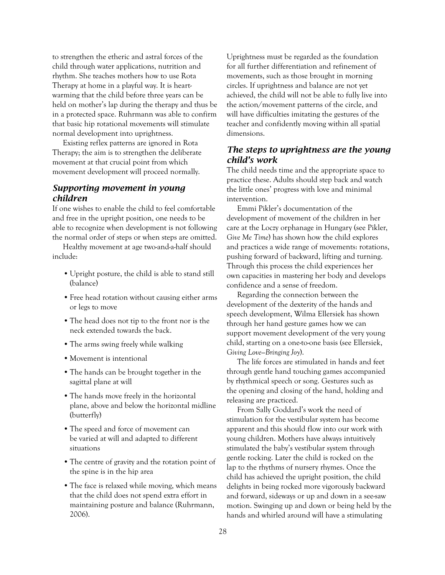to strengthen the etheric and astral forces of the child through water applications, nutrition and rhythm. She teaches mothers how to use Rota Therapy at home in a playful way. It is heartwarming that the child before three years can be held on mother's lap during the therapy and thus be in a protected space. Ruhrmann was able to confirm that basic hip rotational movements will stimulate normal development into uprightness.

Existing reflex patterns are ignored in Rota Therapy; the aim is to strengthen the deliberate movement at that crucial point from which movement development will proceed normally.

#### *Supporting movement in young children*

If one wishes to enable the child to feel comfortable and free in the upright position, one needs to be able to recognize when development is not following the normal order of steps or when steps are omitted.

Healthy movement at age two-and-a-half should include:

- Upright posture, the child is able to stand still (balance)
- Free head rotation without causing either arms or legs to move
- The head does not tip to the front nor is the neck extended towards the back.
- The arms swing freely while walking
- Movement is intentional
- The hands can be brought together in the sagittal plane at will
- The hands move freely in the horizontal plane, above and below the horizontal midline (butterfly)
- The speed and force of movement can be varied at will and adapted to different situations
- The centre of gravity and the rotation point of the spine is in the hip area
- The face is relaxed while moving, which means that the child does not spend extra effort in maintaining posture and balance (Ruhrmann, 2006).

Uprightness must be regarded as the foundation for all further differentiation and refinement of movements, such as those brought in morning circles. If uprightness and balance are not yet achieved, the child will not be able to fully live into the action/movement patterns of the circle, and will have difficulties imitating the gestures of the teacher and confidently moving within all spatial dimensions.

#### *The steps to uprightness are the young child's work*

The child needs time and the appropriate space to practice these. Adults should step back and watch the little ones' progress with love and minimal intervention.

Emmi Pikler's documentation of the development of movement of the children in her care at the Loczy orphanage in Hungary (see Pikler, *Give Me Time*) has shown how the child explores and practices a wide range of movements: rotations, pushing forward of backward, lifting and turning. Through this process the child experiences her own capacities in mastering her body and develops confidence and a sense of freedom.

Regarding the connection between the development of the dexterity of the hands and speech development, Wilma Ellersiek has shown through her hand gesture games how we can support movement development of the very young child, starting on a one-to-one basis (see Ellersiek, *Giving Love—Bringing Joy*).

The life forces are stimulated in hands and feet through gentle hand touching games accompanied by rhythmical speech or song. Gestures such as the opening and closing of the hand, holding and releasing are practiced.

From Sally Goddard's work the need of stimulation for the vestibular system has become apparent and this should flow into our work with young children. Mothers have always intuitively stimulated the baby's vestibular system through gentle rocking. Later the child is rocked on the lap to the rhythms of nursery rhymes. Once the child has achieved the upright position, the child delights in being rocked more vigorously backward and forward, sideways or up and down in a see-saw motion. Swinging up and down or being held by the hands and whirled around will have a stimulating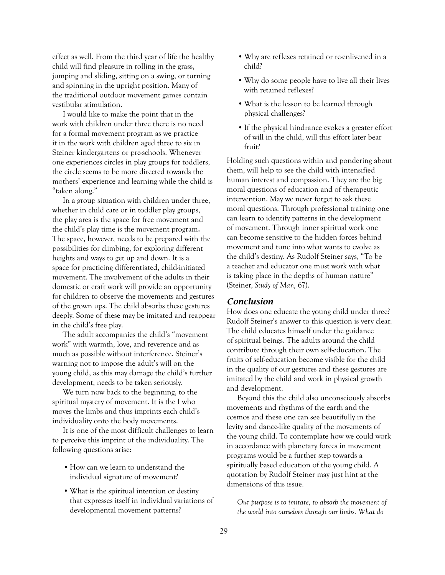effect as well. From the third year of life the healthy child will find pleasure in rolling in the grass, jumping and sliding, sitting on a swing, or turning and spinning in the upright position. Many of the traditional outdoor movement games contain vestibular stimulation.

I would like to make the point that in the work with children under three there is no need for a formal movement program as we practice it in the work with children aged three to six in Steiner kindergartens or pre-schools. Whenever one experiences circles in play groups for toddlers, the circle seems to be more directed towards the mothers' experience and learning while the child is "taken along."

In a group situation with children under three, whether in child care or in toddler play groups, the play area is the space for free movement and the child's play time is the movement program**.** The space, however, needs to be prepared with the possibilities for climbing, for exploring different heights and ways to get up and down. It is a space for practicing differentiated, child-initiated movement. The involvement of the adults in their domestic or craft work will provide an opportunity for children to observe the movements and gestures of the grown ups. The child absorbs these gestures deeply. Some of these may be imitated and reappear in the child's free play.

The adult accompanies the child's "movement work" with warmth, love, and reverence and as much as possible without interference. Steiner's warning not to impose the adult's will on the young child, as this may damage the child's further development, needs to be taken seriously.

We turn now back to the beginning, to the spiritual mystery of movement. It is the I who moves the limbs and thus imprints each child's individuality onto the body movements.

It is one of the most difficult challenges to learn to perceive this imprint of the individuality. The following questions arise:

- How can we learn to understand the individual signature of movement?
- What is the spiritual intention or destiny that expresses itself in individual variations of developmental movement patterns?
- Why are reflexes retained or re-enlivened in a child?
- Why do some people have to live all their lives with retained reflexes?
- What is the lesson to be learned through physical challenges?
- If the physical hindrance evokes a greater effort of will in the child, will this effort later bear fruit?

Holding such questions within and pondering about them, will help to see the child with intensified human interest and compassion. They are the big moral questions of education and of therapeutic intervention. May we never forget to ask these moral questions. Through professional training one can learn to identify patterns in the development of movement. Through inner spiritual work one can become sensitive to the hidden forces behind movement and tune into what wants to evolve as the child's destiny. As Rudolf Steiner says, "To be a teacher and educator one must work with what is taking place in the depths of human nature" (Steiner, *Study of Man,* 67).

#### *Conclusion*

How does one educate the young child under three? Rudolf Steiner's answer to this question is very clear. The child educates himself under the guidance of spiritual beings. The adults around the child contribute through their own self-education. The fruits of self-education become visible for the child in the quality of our gestures and these gestures are imitated by the child and work in physical growth and development.

Beyond this the child also unconsciously absorbs movements and rhythms of the earth and the cosmos and these one can see beautifully in the levity and dance-like quality of the movements of the young child. To contemplate how we could work in accordance with planetary forces in movement programs would be a further step towards a spiritually based education of the young child. A quotation by Rudolf Steiner may just hint at the dimensions of this issue.

*Our purpose is to imitate, to absorb the movement of the world into ourselves through our limbs. What do*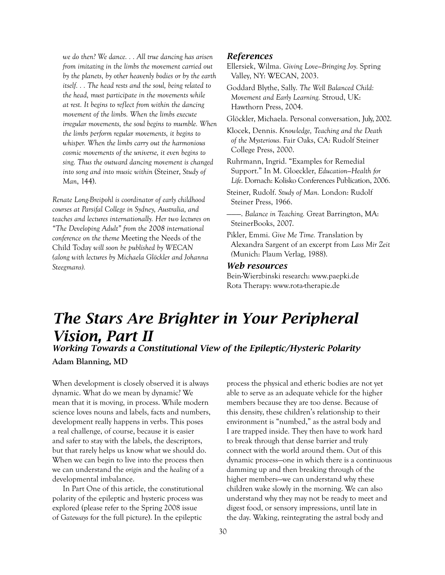*we do then? We dance. . . All true dancing has arisen from imitating in the limbs the movement carried out by the planets, by other heavenly bodies or by the earth itself. . . The head rests and the soul, being related to the head, must participate in the movements while at rest. It begins to reflect from within the dancing movement of the limbs. When the limbs execute irregular movements, the soul begins to mumble. When the limbs perform regular movements, it begins to whisper. When the limbs carry out the harmonious cosmic movements of the universe, it even begins to sing. Thus the outward dancing movement is changed into song and into music within* (Steiner, *Study of Man*, 144).

*Renate Long-Breipohl is coordinator of early childhood courses at Parsifal College in Sydney, Australia, and teaches and lectures internationally. Her two lectures on "The Developing Adult" from the 2008 international conference on the theme* Meeting the Needs of the Child Today *will soon be published by WECAN (along with lectures by Michaela Glöckler and Johanna Steegmans).*

#### *References*

Ellersiek, Wilma. *Giving Love—Bringing Joy.* Spring Valley, NY: WECAN, 2003.

Goddard Blythe, Sally. *The Well Balanced Child: Movement and Early Learning.* Stroud, UK: Hawthorn Press, 2004.

Glöckler, Michaela. Personal conversation, July, 2002.

Klocek, Dennis. *Knowledge, Teaching and the Death of the Mysterious.* Fair Oaks, CA: Rudolf Steiner College Press, 2000.

Ruhrmann, Ingrid. "Examples for Remedial Support." In M. Gloeckler, *Education—Health for Life*. Dornach: Kolisko Conferences Publication, 2006.

Steiner, Rudolf. *Study of Man.* London: Rudolf Steiner Press, 1966.

———. *Balance in Teaching.* Great Barrington, MA: SteinerBooks, 2007.

Pikler, Emmi. *Give Me Time. T*ranslation by Alexandra Sargent of an excerpt from *Lass Mir Zeit (*Munich: Plaum Verlag, 1988).

#### *Web resources*

Bein-Wierzbinski research: www.paepki.de Rota Therapy: www.rota-therapie.de

## *The Stars Are Brighter in Your Peripheral Vision, Part II*

*Working Towards a Constitutional View of the Epileptic/Hysteric Polarity* **Adam Blanning, MD**

When development is closely observed it is always dynamic. What do we mean by dynamic? We mean that it is moving, in process. While modern science loves nouns and labels, facts and numbers, development really happens in verbs. This poses a real challenge, of course, because it is easier and safer to stay with the labels, the descriptors, but that rarely helps us know what we should do. When we can begin to live into the process then we can understand the *origin* and the *healing* of a developmental imbalance.

In Part One of this article, the constitutional polarity of the epileptic and hysteric process was explored (please refer to the Spring 2008 issue of *Gateways* for the full picture). In the epileptic

process the physical and etheric bodies are not yet able to serve as an adequate vehicle for the higher members because they are too dense. Because of this density, these children's relationship to their environment is "numbed," as the astral body and I are trapped inside. They then have to work hard to break through that dense barrier and truly connect with the world around them. Out of this dynamic process—one in which there is a continuous damming up and then breaking through of the higher members—we can understand why these children wake slowly in the morning. We can also understand why they may not be ready to meet and digest food, or sensory impressions, until late in the day. Waking, reintegrating the astral body and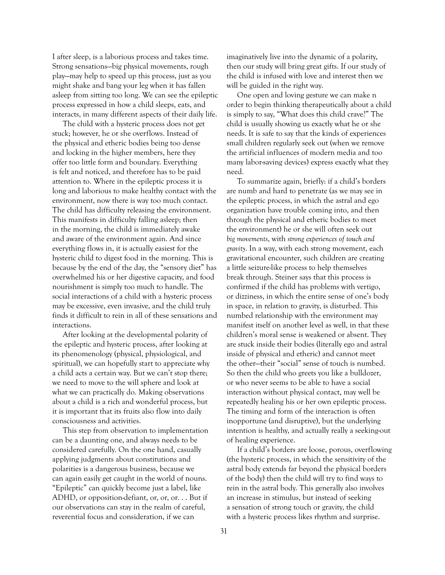I after sleep, is a laborious process and takes time. Strong sensations—big physical movements, rough play—may help to speed up this process, just as you might shake and bang your leg when it has fallen asleep from sitting too long. We can see the epileptic process expressed in how a child sleeps, eats, and interacts, in many different aspects of their daily life.

The child with a hysteric process does not get stuck; however, he or she overflows. Instead of the physical and etheric bodies being too dense and locking in the higher members, here they offer too little form and boundary. Everything is felt and noticed, and therefore has to be paid attention to. Where in the epileptic process it is long and laborious to make healthy contact with the environment, now there is way too much contact. The child has difficulty releasing the environment. This manifests in difficulty falling asleep; then in the morning, the child is immediately awake and aware of the environment again. And since everything flows in, it is actually easiest for the hysteric child to digest food in the morning. This is because by the end of the day, the "sensory diet" has overwhelmed his or her digestive capacity, and food nourishment is simply too much to handle. The social interactions of a child with a hysteric process may be excessive, even invasive, and the child truly finds it difficult to rein in all of these sensations and interactions.

After looking at the developmental polarity of the epileptic and hysteric process, after looking at its phenomenology (physical, physiological, and spiritual), we can hopefully start to appreciate why a child acts a certain way. But we can't stop there; we need to move to the will sphere and look at what we can practically do. Making observations about a child is a rich and wonderful process, but it is important that its fruits also flow into daily consciousness and activities.

This step from observation to implementation can be a daunting one, and always needs to be considered carefully. On the one hand, casually applying judgments about constitutions and polarities is a dangerous business, because we can again easily get caught in the world of nouns. "Epileptic" can quickly become just a label, like ADHD, or opposition-defiant, or, or, or. . . But if our observations can stay in the realm of careful, reverential focus and consideration, if we can

imaginatively live into the dynamic of a polarity, then our study will bring great gifts. If our study of the child is infused with love and interest then we will be guided in the right way.

One open and loving gesture we can make n order to begin thinking therapeutically about a child is simply to say, "What does this child crave?" The child is usually showing us exactly what he or she needs. It is safe to say that the kinds of experiences small children regularly seek out (when we remove the artificial influences of modern media and too many labor-saving devices) express exactly what they need.

To summarize again, briefly: if a child's borders are numb and hard to penetrate (as we may see in the epileptic process, in which the astral and ego organization have trouble coming into, and then through the physical and etheric bodies to meet the environment) he or she will often seek out *big movements*, with *strong experiences of touch and gravity*. In a way, with each strong movement, each gravitational encounter, such children are creating a little seizure-like process to help themselves break through. Steiner says that this process is confirmed if the child has problems with vertigo, or dizziness, in which the entire sense of one's body in space, in relation to gravity, is disturbed. This numbed relationship with the environment may manifest itself on another level as well, in that these children's moral sense is weakened or absent. They are stuck inside their bodies (literally ego and astral inside of physical and etheric) and cannot meet the other—their "social" sense of touch is numbed. So then the child who greets you like a bulldozer, or who never seems to be able to have a social interaction without physical contact, may well be repeatedly healing his or her own epileptic process. The timing and form of the interaction is often inopportune (and disruptive), but the underlying intention is healthy, and actually really a seeking-out of healing experience.

If a child's borders are loose, porous, overflowing (the hysteric process, in which the sensitivity of the astral body extends far beyond the physical borders of the body) then the child will try to find ways to rein in the astral body. This generally also involves an increase in stimulus, but instead of seeking a sensation of strong touch or gravity, the child with a hysteric process likes rhythm and surprise.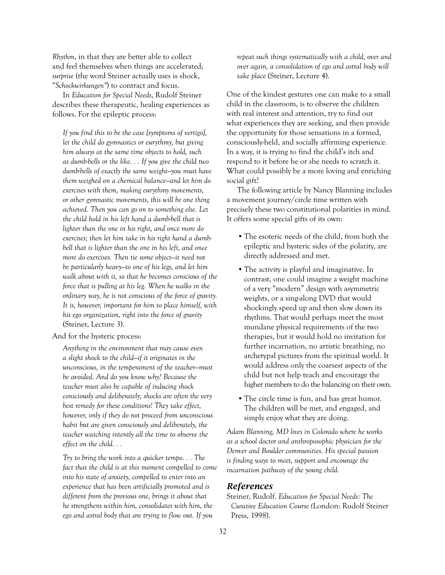*Rhythm*, in that they are better able to collect and feel themselves when things are accelerated; *surprise* (the word Steiner actually uses is shock, "*Schockwirkungen"*) to contract and focus.

In *Education for Special Needs*, Rudolf Steiner describes these therapeutic, healing experiences as follows. For the epileptic process:

*If you find this to be the case [symptoms of vertigo], let the child do gymnastics or eurythmy, but giving him always at the same time objects to hold, such as dumb-bells or the like. . . If you give the child two dumb-bells of exactly the same weight—you must have them weighed on a chemical balance—and let him do exercises with them, making eurythmy movements, or other gymnastic movements, this will be one thing achieved. Then you can go on to something else. Let the child hold in his left hand a dumb-bell that is lighter than the one in his right, and once more do exercises; then let him take in his right hand a dumbbell that is lighter than the one in his left, and once more do exercises. Then tie some object—it need not be particularly heavy—to one of his legs, and let him walk about with it, so that he becomes conscious of the force that is pulling at his leg. When he walks in the ordinary way, he is not conscious of the force of gravity. It is, however, important for him to place himself, with his ego organization, right into the force of gravity*  (Steiner, Lecture 3).

And for the hysteric process:

*Anything in the environment that may cause even a slight shock to the child—if it originates in the unconscious, in the temperament of the teacher—must be avoided. And do you know why? Because the teacher must also be capable of inducing shock consciously and deliberately; shocks are often the very best remedy for these conditions! They take effect, however, only if they do not proceed from unconscious habit but are given consciously and deliberately, the teacher watching intently all the time to observe the effect on the child. . .*

*Try to bring the work into a quicker tempo. . . The fact that the child is at this moment compelled to come into his state of anxiety, compelled to enter into an experience that has been artificially promoted and is different from the previous one, brings it about that he strengthens within him, consolidates with him, the ego and astral body that are trying to flow out. If you* 

*repeat such things systematically with a child, over and over again, a consolidation of ego and astral body will take place* (Steiner, Lecture 4).

One of the kindest gestures one can make to a small child in the classroom, is to observe the children with real interest and attention, try to find out what experiences they are seeking, and then provide the opportunity for those sensations in a formed, consciously-held, and socially affirming experience. In a way, it is trying to find the child's itch and respond to it before he or she needs to scratch it. What could possibly be a more loving and enriching social gift?

The following article by Nancy Blanning includes a movement journey/circle time written with precisely these two constitutional polarities in mind. It offers some special gifts of its own:

- The esoteric needs of the child, from both the epileptic and hysteric sides of the polarity, are directly addressed and met.
- The activity is playful and imaginative. In contrast, one could imagine a weight machine of a very "modern" design with asymmetric weights, or a sing-along DVD that would shockingly speed up and then slow down its rhythms. That would perhaps meet the most mundane physical requirements of the two therapies, but it would hold no invitation for further incarnation, no artistic breathing, no archetypal pictures from the spiritual world. It would address only the coarsest aspects of the child but not help teach and encourage the higher members to do the balancing on their own.
- The circle time is fun, and has great humor. The children will be met, and engaged, and simply enjoy what they are doing.

*Adam Blanning, MD lives in Colorado where he works as a school doctor and anthroposophic physician for the Denver and Boulder communities. His special passion is finding ways to meet, support and encourage the incarnation pathway of the young child.*

#### *References*

Steiner, Rudolf. *Education for Special Needs: The Curative Education Course (*London: Rudolf Steiner Press, 1998).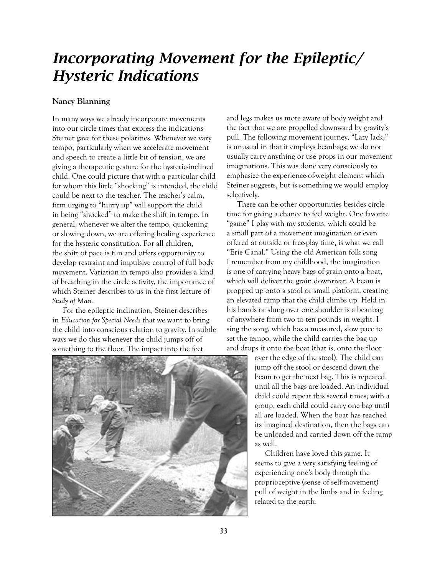### *Incorporating Movement for the Epileptic/ Hysteric Indications*

#### **Nancy Blanning**

In many ways we already incorporate movements into our circle times that express the indications Steiner gave for these polarities. Whenever we vary tempo, particularly when we accelerate movement and speech to create a little bit of tension, we are giving a therapeutic gesture for the hysteric-inclined child. One could picture that with a particular child for whom this little "shocking" is intended, the child could be next to the teacher. The teacher's calm, firm urging to "hurry up" will support the child in being "shocked" to make the shift in tempo. In general, whenever we alter the tempo, quickening or slowing down, we are offering healing experience for the hysteric constitution. For all children, the shift of pace is fun and offers opportunity to develop restraint and impulsive control of full body movement. Variation in tempo also provides a kind of breathing in the circle activity, the importance of which Steiner describes to us in the first lecture of *Study of Man.*

For the epileptic inclination, Steiner describes in *Education for Special Needs* that we want to bring the child into conscious relation to gravity. In subtle ways we do this whenever the child jumps off of something to the floor. The impact into the feet

and legs makes us more aware of body weight and the fact that we are propelled downward by gravity's pull. The following movement journey, "Lazy Jack," is unusual in that it employs beanbags; we do not usually carry anything or use props in our movement imaginations. This was done very consciously to emphasize the experience-of-weight element which Steiner suggests, but is something we would employ selectively.

There can be other opportunities besides circle time for giving a chance to feel weight. One favorite "game" I play with my students, which could be a small part of a movement imagination or even offered at outside or free-play time, is what we call "Erie Canal." Using the old American folk song I remember from my childhood, the imagination is one of carrying heavy bags of grain onto a boat, which will deliver the grain downriver. A beam is propped up onto a stool or small platform, creating an elevated ramp that the child climbs up. Held in his hands or slung over one shoulder is a beanbag of anywhere from two to ten pounds in weight. I sing the song, which has a measured, slow pace to set the tempo, while the child carries the bag up and drops it onto the boat (that is, onto the floor



over the edge of the stool). The child can jump off the stool or descend down the beam to get the next bag. This is repeated until all the bags are loaded. An individual child could repeat this several times; with a group, each child could carry one bag until all are loaded. When the boat has reached its imagined destination, then the bags can be unloaded and carried down off the ramp as well.

Children have loved this game. It seems to give a very satisfying feeling of experiencing one's body through the proprioceptive (sense of self-movement) pull of weight in the limbs and in feeling related to the earth.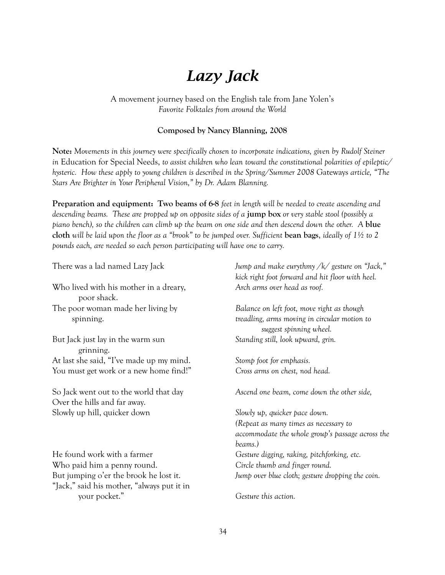# *Lazy Jack*

A movement journey based on the English tale from Jane Yolen's *Favorite Folktales from around the World*

#### **Composed by Nancy Blanning, 2008**

**Note:** *Movements in this journey were specifically chosen to incorporate indications, given by Rudolf Steiner in* Education for Special Needs, *to assist children who lean toward the constitutional polarities of epileptic/ hysteric. How these apply to young children is described in the Spring/Summer 2008* Gateways *article, "The Stars Are Brighter in Your Peripheral Vision," by Dr. Adam Blanning.*

**Preparation and equipment: Two beams of 6-8** *feet in length will be needed to create ascending and descending beams. These are propped up on opposite sides of a* **jump box** *or very stable stool (possibly a piano bench), so the children can climb up the beam on one side and then descend down the other. A* **blue cloth** *will be laid upon the floor as a "brook" to be jumped over. Sufficient* **bean bags**, *ideally of 1½ to 2 pounds each, are needed so each person participating will have one to carry.*

Who lived with his mother in a dreary, *Arch arms over head as roof.* poor shack. The poor woman made her living by *Balance on left foot, move right as though* 

But Jack just lay in the warm sun *Standing still, look upward, grin.* grinning. At last she said, "I've made up my mind. *Stomp foot for emphasis.* You must get work or a new home find!" *Cross arms on chest, nod head.*

Over the hills and far away. Slowly up hill, quicker down *Slowly up, quicker pace down.* 

He found work with a farmer *Gesture digging, raking, pitchforking, etc.* Who paid him a penny round. *Circle thumb and finger round.* "Jack," said his mother, "always put it in your pocket." *Gesture this action.*

There was a lad named Lazy Jack *Jump and make eurythmy /k/ gesture on "Jack," kick right foot forward and hit floor with heel.*

spinning. *treadling, arms moving in circular motion to suggest spinning wheel.* 

So Jack went out to the world that day *Ascend one beam, come down the other side,*

 *(Repeat as many times as necessary to accommodate the whole group's passage across the beams.)* But jumping o'er the brook he lost it. *Jump over blue cloth; gesture dropping the coin.*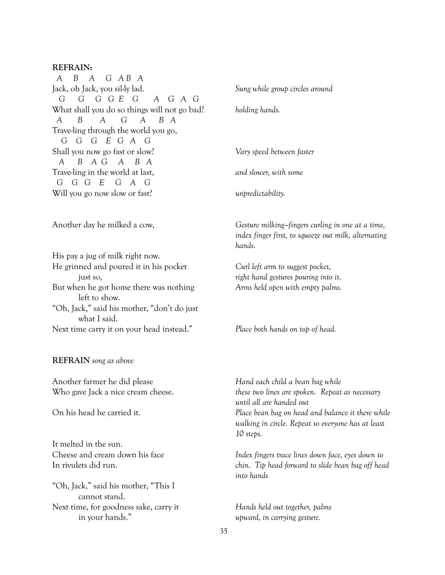#### **REFRAIN:**

*A B A G A B A* Jack, oh Jack, you sil-ly lad. *Sung while group circles around G G G G E G A G A G* What shall you do so things will not go bad? *holding hands. A B A G A B A* Trave-ling through the world you go, *G G G E G A G* Shall you now go fast or slow? *Vary speed between faster A B A G A B A* Trave-ling in the world at last, *and slower, with some G G G E G A G* Will you go now slow or fast? *unpredictability.*

His pay a jug of milk right now. He grinned and poured it in his pocket *Curl left arm to suggest pocket,* just so, *right hand gestures pouring into it.* But when he got home there was nothing *Arms held open with empty palms.* left to show. "Oh, Jack," said his mother, "don't do just what I said.

Next time carry it on your head instead." *Place both hands on top of head.*

**REFRAIN** *song as above*

Another farmer he did please *Hand each child a bean bag while*

It melted in the sun.

"Oh, Jack," said his mother, "This I cannot stand. Next time, for goodness sake, carry it *Hands held out together, palms*  in your hands." *upward, in carrying gesture.*

Another day he milked a cow, *Gesture milking—fingers curling in one at a time, index finger first, to squeeze out milk, alternating hands.*

Who gave Jack a nice cream cheese. *these two lines are spoken. Repeat as necessary until all are handed out* On his head he carried it. *Place bean bag on head and balance it there while walking in circle. Repeat so everyone has at least 10 steps.*

Cheese and cream down his face *Index fingers trace lines down face, eyes down to*  In rivulets did run. *chin. Tip head forward to slide bean bag off head into hands*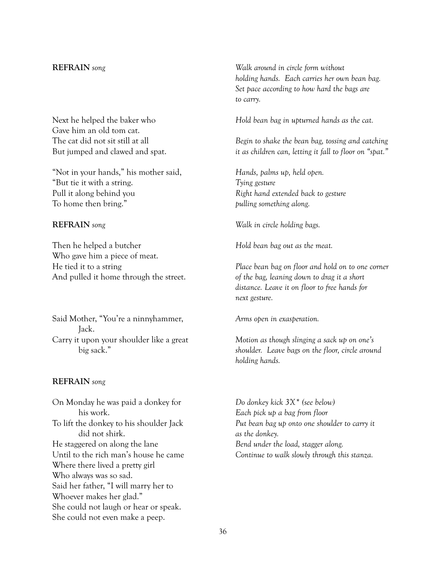Gave him an old tom cat.

"Not in your hands," his mother said, *Hands, palms up, held open.* "But tie it with a string. *Tying gesture* Pull it along behind you *Right hand extended back to gesture* To home then bring." *pulling something along.*

Then he helped a butcher *Hold bean bag out as the meat.* Who gave him a piece of meat. He tied it to a string *Place bean bag on floor and hold on to one corner* And pulled it home through the street. *of the bag, leaning down to drag it a short* 

Said Mother, "You're a ninnyhammer, *Arms open in exasperation.* Jack. Carry it upon your shoulder like a great *Motion as though slinging a sack up on one's* 

#### **REFRAIN** *song*

On Monday he was paid a donkey for *Do donkey kick 3X\* (see below)* his work. *Each pick up a bag from floor* did not shirk. *as the donkey.* He staggered on along the lane *Bend under the load, stagger along.* Where there lived a pretty girl Who always was so sad. Said her father, "I will marry her to Whoever makes her glad." She could not laugh or hear or speak. She could not even make a peep.

**REFRAIN** *song Walk around in circle form without holding hands. Each carries her own bean bag. Set pace according to how hard the bags are to carry.*

Next he helped the baker who *Hold bean bag in upturned hands as the cat.*

The cat did not sit still at all *Begin to shake the bean bag, tossing and catching*  But jumped and clawed and spat. *it as children can, letting it fall to floor on "spat."* 

**REFRAIN** *song Walk in circle holding bags.*

 *distance. Leave it on floor to free hands for next gesture.*

 big sack." *shoulder. Leave bags on the floor, circle around holding hands.* 

To lift the donkey to his shoulder Jack *Put bean bag up onto one shoulder to carry it*  Until to the rich man's house he came *Continue to walk slowly through this stanza.*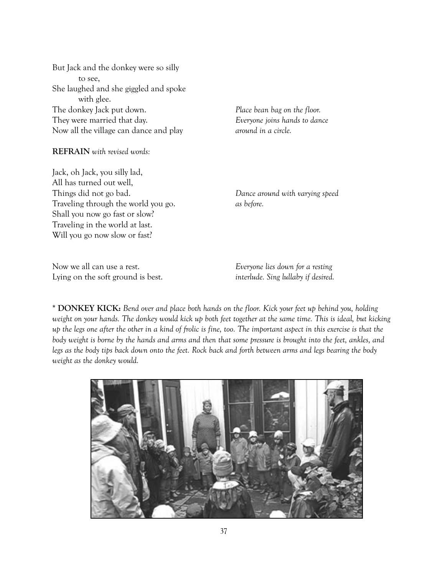But Jack and the donkey were so silly to see, She laughed and she giggled and spoke with glee. The donkey Jack put down. *Place bean bag on the floor.* They were married that day. *Everyone joins hands to dance*  Now all the village can dance and play *around in a circle.*

**REFRAIN** *with revised words:*

Jack, oh Jack, you silly lad, All has turned out well, Things did not go bad.*Dance around with varying speed* Traveling through the world you go. *as before.* Shall you now go fast or slow? Traveling in the world at last. Will you go now slow or fast?

Now we all can use a rest. *Everyone lies down for a resting* Lying on the soft ground is best. *interlude. Sing lullaby if desired.*

**\* DONKEY KICK:** *Bend over and place both hands on the floor. Kick your feet up behind you, holding weight on your hands. The donkey would kick up both feet together at the same time. This is ideal, but kicking up the legs one after the other in a kind of frolic is fine, too. The important aspect in this exercise is that the body weight is borne by the hands and arms and then that some pressure is brought into the feet, ankles, and legs as the body tips back down onto the feet. Rock back and forth between arms and legs bearing the body weight as the donkey would.*

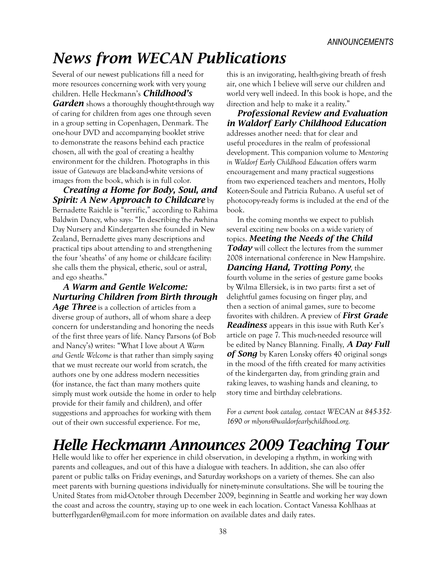# *News from WECAN Publications*

Several of our newest publications fill a need for more resources concerning work with very young children. Helle Heckmann's *Childhood's Garden* shows a thoroughly thought-through way of caring for children from ages one through seven in a group setting in Copenhagen, Denmark. The one-hour DVD and accompanying booklet strive to demonstrate the reasons behind each practice chosen, all with the goal of creating a healthy environment for the children. Photographs in this issue of *Gateways* are black-and-white versions of images from the book, which is in full color.

*Creating a Home for Body, Soul, and Spirit: A New Approach to Childcare* by Bernadette Raichle is "terrific," according to Rahima Baldwin Dancy, who says: "In describing the Awhina Day Nursery and Kindergarten she founded in New Zealand, Bernadette gives many descriptions and practical tips about attending to and strengthening the four 'sheaths' of any home or childcare facility: she calls them the physical, etheric, soul or astral, and ego sheaths."

*A Warm and Gentle Welcome: Nurturing Children from Birth through* 

*Age Three* is a collection of articles from a diverse group of authors, all of whom share a deep concern for understanding and honoring the needs of the first three years of life. Nancy Parsons (of Bob and Nancy's) writes: "What I love about *A Warm and Gentle Welcome* is that rather than simply saying that we must recreate our world from scratch, the authors one by one address modern necessities (for instance, the fact than many mothers quite simply must work outside the home in order to help provide for their family and children), and offer suggestions and approaches for working with them out of their own successful experience. For me,

this is an invigorating, health-giving breath of fresh air, one which I believe will serve our children and world very well indeed. In this book is hope, and the direction and help to make it a reality."

*Professional Review and Evaluation in Waldorf Early Childhood Education*  addresses another need: that for clear and useful procedures in the realm of professional development. This companion volume to *Mentoring in Waldorf Early Childhood Education* offers warm encouragement and many practical suggestions from two experienced teachers and mentors, Holly Koteen-Soule and Patricia Rubano. A useful set of photocopy-ready forms is included at the end of the book.

In the coming months we expect to publish several exciting new books on a wide variety of topics. *Meeting the Needs of the Child Today* will collect the lectures from the summer 2008 international conference in New Hampshire. *Dancing Hand, Trotting Pony*, the fourth volume in the series of gesture game books by Wilma Ellersiek, is in two parts: first a set of delightful games focusing on finger play, and then a section of animal games, sure to become favorites with children. A preview of *First Grade Readiness* appears in this issue with Ruth Ker's article on page 7. This much-needed resource will be edited by Nancy Blanning. Finally, *A Day Full of Song* by Karen Lonsky offers 40 original songs in the mood of the fifth created for many activities of the kindergarten day, from grinding grain and raking leaves, to washing hands and cleaning, to story time and birthday celebrations.

*For a current book catalog, contact WECAN at 845-352- 1690 or mlyons@waldorfearlychildhood.org.*

# *Helle Heckmann Announces 2009 Teaching Tour*

Helle would like to offer her experience in child observation, in developing a rhythm, in working with parents and colleagues, and out of this have a dialogue with teachers. In addition, she can also offer parent or public talks on Friday evenings, and Saturday workshops on a variety of themes. She can also meet parents with burning questions individually for ninety-minute consultations. She will be touring the United States from mid-October through December 2009, beginning in Seattle and working her way down the coast and across the country, staying up to one week in each location. Contact Vanessa Kohlhaas at butterflygarden@gmail.com for more information on available dates and daily rates.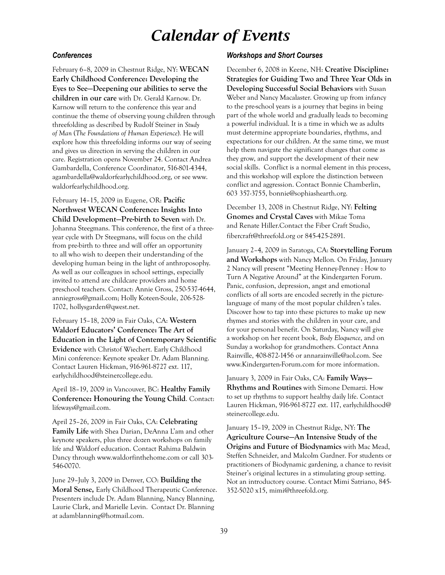### *Calendar of Events*

#### *Conferences*

February 6–8, 2009 in Chestnut Ridge, NY: **WECAN Early Childhood Conference: Developing the Eyes to See—Deepening our abilities to serve the children in our care** with Dr. Gerald Karnow. Dr. Karnow will return to the conference this year and continue the theme of observing young children through threefolding as described by Rudolf Steiner in *Study of Man* (*The Foundations of Human Experience*)*.* He will explore how this threefolding informs our way of seeing and gives us direction in serving the children in our care. Registration opens November 24. Contact Andrea Gambardella, Conference Coordinator, 516-801-4344, agambardella@waldorfearlychildhood.org, or see www. waldorfearlychildhood.org.

February 14–15, 2009 in Eugene, OR: **Pacific Northwest WECAN Conference: Insights Into Child Development—Pre-birth to Seven** with Dr. Johanna Steegmans. This conference, the first of a threeyear cycle with Dr Steegmans, will focus on the child from pre-birth to three and will offer an opportunity to all who wish to deepen their understanding of the developing human being in the light of anthroposophy. As well as our colleagues in school settings, especially invited to attend are childcare providers and home preschool teachers. Contact: Annie Gross, 250-537-4644, anniegross@gmail.com; Holly Koteen-Soule, 206-528- 1702, hollysgarden@qwest.net.

February 15–18, 2009 in Fair Oaks, CA: **Western Waldorf Educators' Conference: The Art of Education in the Light of Contemporary Scientific Evidence** with Christof Wiechert. Early Childhood Mini conference: Keynote speaker Dr. Adam Blanning. Contact Lauren Hickman, 916-961-8727 ext. 117, earlychildhood@steinercollege.edu.

April 18–19, 2009 in Vancouver, BC: **Healthy Family Conference: Honouring the Young Child**. Contact: lifeways@gmail.com.

April 25–26, 2009 in Fair Oaks, CA: **Celebrating Family Life** with Shea Darian, DeAnna L'am and other keynote speakers, plus three dozen workshops on family life and Waldorf education. Contact Rahima Baldwin Dancy through www.waldorfinthehome.com or call 303- 546-0070.

June 29–July 3, 2009 in Denver, CO: **Building the Moral Sense,** Early Childhood Therapeutic Conference. Presenters include Dr. Adam Blanning, Nancy Blanning, Laurie Clark, and Marielle Levin. Contact Dr. Blanning at adamblanning@hotmail.com.

#### *Workshops and Short Courses*

December 6, 2008 in Keene, NH: **Creative Discipline: Strategies for Guiding Two and Three Year Olds in Developing Successful Social Behaviors** with Susan Weber and Nancy Macalaster. Growing up from infancy to the pre-school years is a journey that begins in being part of the whole world and gradually leads to becoming a powerful individual. It is a time in which we as adults must determine appropriate boundaries, rhythms, and expectations for our children. At the same time, we must help them navigate the significant changes that come as they grow, and support the development of their new social skills. Conflict is a normal element in this process, and this workshop will explore the distinction between conflict and aggression. Contact Bonnie Chamberlin, 603 357-3755, bonnie@sophiashearth.org.

December 13, 2008 in Chestnut Ridge, NY: **Felting Gnomes and Crystal Caves** with Mikae Toma and Renate Hiller.Contact the Fiber Craft Studio, fibercraft@threefold.org or 845-425-2891.

January 2–4, 2009 in Saratoga, CA: **Storytelling Forum and Workshops** with Nancy Mellon*.* On Friday, January 2 Nancy will present "Meeting Henney-Penney : How to Turn A Negative Around" at the Kindergarten Forum. Panic, confusion, depression, angst and emotional conflicts of all sorts are encoded secretly in the picturelanguage of many of the most popular children's tales. Discover how to tap into these pictures to make up new rhymes and stories with the children in your care, and for your personal benefit. On Saturday, Nancy will give a workshop on her recent book, *Body Eloquence*, and on Sunday a workshop for grandmothers. Contact Anna Rainville, 408-872-1456 or annarainville@aol.com. See www.Kindergarten-Forum.com for more information.

January 3, 2009 in Fair Oaks, CA: **Family Ways— Rhythms and Routines** with Simone Demarzi. How to set up rhythms to support healthy daily life. Contact Lauren Hickman, 916-961-8727 ext. 117, earlychildhood@ steinercollege.edu.

January 15–19, 2009 in Chestnut Ridge, NY: **The Agriculture Course—An Intensive Study of the Origins and Future of Biodynamics** with Mac Mead, Steffen Schneider, and Malcolm Gardner. For students or practitioners of Biodynamic gardening, a chance to revisit Steiner's original lectures in a stimulating group setting. Not an introductory course. Contact Mimi Satriano, 845- 352-5020 x15, mimi@threefold.org.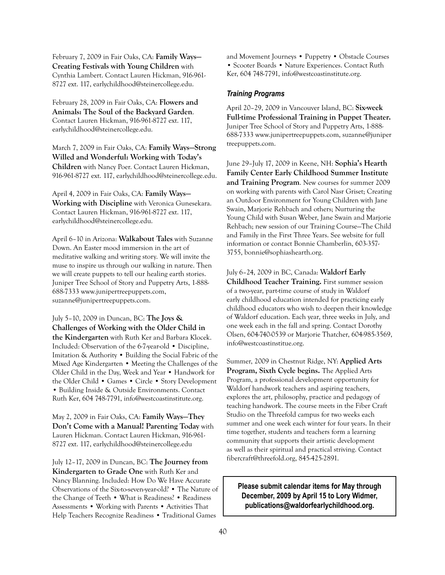February 7, 2009 in Fair Oaks, CA: **Family Ways— Creating Festivals with Young Children** with Cynthia Lambert. Contact Lauren Hickman, 916-961- 8727 ext. 117, earlychildhood@steinercollege.edu.

February 28, 2009 in Fair Oaks, CA: **Flowers and Animals: The Soul of the Backyard Garden**. Contact Lauren Hickman, 916-961-8727 ext. 117, earlychildhood@steinercollege.edu.

March 7, 2009 in Fair Oaks, CA: **Family Ways—Strong Willed and Wonderful: Working with Today's Children** with Nancy Poer. Contact Lauren Hickman, 916-961-8727 ext. 117, earlychildhood@steinercollege.edu.

April 4, 2009 in Fair Oaks, CA: **Family Ways— Working with Discipline** with Veronica Gunesekara. Contact Lauren Hickman, 916-961-8727 ext. 117, earlychildhood@steinercollege.edu.

April 6–10 in Arizona: **Walkabout Tales** with Suzanne Down. An Easter mood immersion in the art of meditative walking and writing story. We will invite the muse to inspire us through our walking in nature. Then we will create puppets to tell our healing earth stories. Juniper Tree School of Story and Puppetry Arts, 1-888- 688-7333 www.junipertreepuppets.com, suzanne@junipertreepuppets.com.

July 5–10, 2009 in Duncan, BC: **The Joys & Challenges of Working with the Older Child in the Kindergarten** with Ruth Ker and Barbara Klocek. Included: Observation of the 6-7-year-old • Discipline, Imitation & Authority • Building the Social Fabric of the Mixed Age Kindergarten • Meeting the Challenges of the Older Child in the Day, Week and Year • Handwork for the Older Child • Games • Circle • Story Development • Building Inside & Outside Environments. Contact Ruth Ker, 604 748-7791, info@westcoastinstitute.org.

May 2, 2009 in Fair Oaks, CA: **Family Ways—They Don't Come with a Manual! Parenting Today** with Lauren Hickman. Contact Lauren Hickman, 916-961- 8727 ext. 117, earlychildhood@steinercollege.edu

July 12–17, 2009 in Duncan, BC: **The Journey from Kindergarten to Grade One** with Ruth Ker and Nancy Blanning. Included: How Do We Have Accurate Observations of the Six-to-seven-year-old? • The Nature of the Change of Teeth • What is Readiness? • Readiness Assessments • Working with Parents • Activities That Help Teachers Recognize Readiness • Traditional Games

and Movement Journeys • Puppetry • Obstacle Courses • Scooter Boards • Nature Experiences. Contact Ruth Ker, 604 748-7791, info@westcoastinstitute.org.

#### *Training Programs*

April 20–29, 2009 in Vancouver Island, BC: **Six-week Full-time Professional Training in Puppet Theater.** Juniper Tree School of Story and Puppetry Arts, 1-888- 688-7333 www.junipertreepuppets.com, suzanne@juniper treepuppets.com.

June 29–July 17, 2009 in Keene, NH: **Sophia's Hearth Family Center Early Childhood Summer Institute and Training Program**. New courses for summer 2009 on working with parents with Carol Nasr Griset; Creating an Outdoor Environment for Young Children with Jane Swain, Marjorie Rehbach and others; Nurturing the Young Child with Susan Weber, Jane Swain and Marjorie Rehbach; new session of our Training Course—The Child and Family in the First Three Years. See website for full information or contact Bonnie Chamberlin, 603-357- 3755, bonnie@sophiashearth.org.

July 6–24, 2009 in BC, Canada: **Waldorf Early Childhood Teacher Training.** First summer session of a two-year, part-time course of study in Waldorf early childhood education intended for practicing early childhood educators who wish to deepen their knowledge of Waldorf education. Each year, three weeks in July, and one week each in the fall and spring. Contact Dorothy Olsen, 604-740-0539 or Marjorie Thatcher, 604-985-3569, info@westcoastinstitue.org.

Summer, 2009 in Chestnut Ridge, NY: **Applied Arts Program, Sixth Cycle begins.** The Applied Arts Program, a professional development opportunity for Waldorf handwork teachers and aspiring teachers, explores the art, philosophy, practice and pedagogy of teaching handwork. The course meets in the Fiber Craft Studio on the Threefold campus for two weeks each summer and one week each winter for four years. In their time together, students and teachers form a learning community that supports their artistic development as well as their spiritual and practical striving. Contact fibercraft@threefold.org, 845-425-2891.

**Please submit calendar items for May through December, 2009 by April 15 to Lory Widmer, publications@waldorfearlychildhood.org.**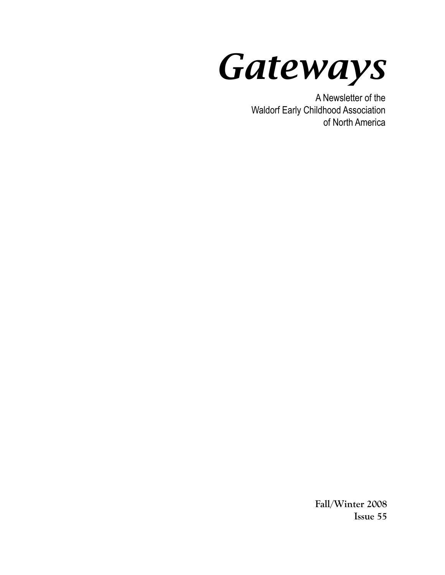*Gateways*

A Newsletter of the Waldorf Early Childhood Association of North America

> **Fall/Winter 2008 Issue 55**